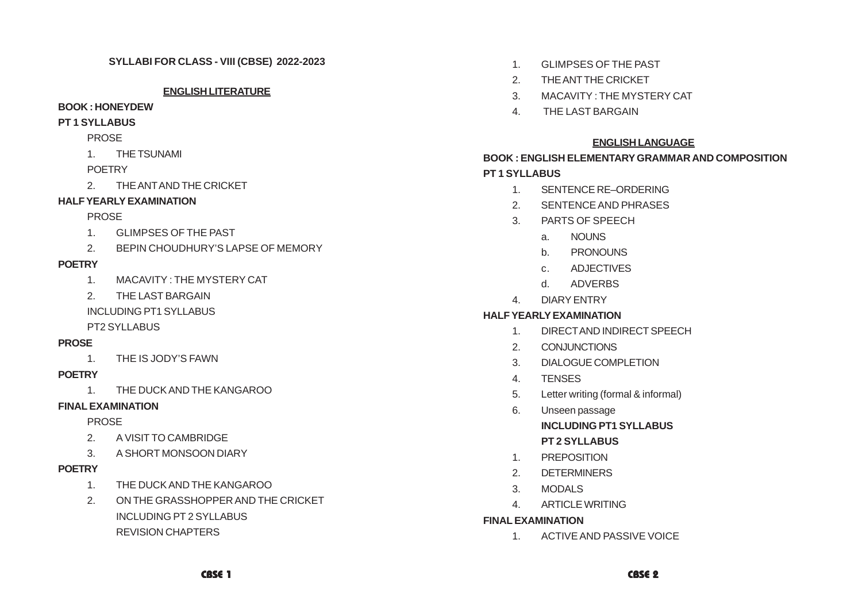#### **ENGLISH LITERATURE**

#### **BOOK : HONEYDEW**

#### **PT 1 SYLLABUS**

#### PROSE

1. THE TSUNAMI

### **POFTRY**

2. THE ANT AND THE CRICKET

# **HALF YEARLY EXAMINATION**

# PROSE

- 1. GLIMPSES OF THE PAST
- 2. BEPIN CHOUDHURY'S LAPSE OF MEMORY

# **POETRY**

- 1. MACAVITY : THE MYSTERY CAT
- 2. THE LAST BARGAIN

INCLUDING PT1 SYLLABUS

# PT2 SYLLABUS

# **PROSE**

1. THE IS JODY'S FAWN

# **POETRY**

1. THE DUCK AND THE KANGAROO

# **FINAL EXAMINATION**

# PROSE

- 2. A VISIT TO CAMBRIDGE
- 3. A SHORT MONSOON DIARY

# **POETRY**

- 1. THE DUCK AND THE KANGAROO
- 2. ON THE GRASSHOPPER AND THE CRICKET INCLUDING PT 2 SYLLABUS REVISION CHAPTERS
- 1. GLIMPSES OF THE PAST
- 2. THE ANT THE CRICKET
- 3. MACAVITY : THE MYSTERY CAT
- 4. THE LAST BARGAIN

# **ENGLISH LANGUAGE**

# **BOOK : ENGLISH ELEMENTARY GRAMMAR AND COMPOSITION PT 1 SYLLABUS**

- 1. SENTENCE RE–ORDERING
- 2. SENTENCE AND PHRASES
- 3. PARTS OF SPEECH
	- a. NOUNS
	- b. PRONOUNS
	- c. ADJECTIVES
	- d. ADVERBS
- 4. DIARY ENTRY

# **HALF YEARLY EXAMINATION**

- 1. DIRECT AND INDIRECT SPEECH
- 2. CONJUNCTIONS
- 3. DIALOGUE COMPLETION
- 4. TENSES
- 5. Letter writing (formal & informal)
- 6. Unseen passage

# **INCLUDING PT1 SYLLABUS**

- **PT 2 SYLLABUS**
- 1. PREPOSITION
- 2. DETERMINERS
- 3. MODALS
- 4. ARTICLE WRITING

### **FINAL EXAMINATION**

1. ACTIVE AND PASSIVE VOICE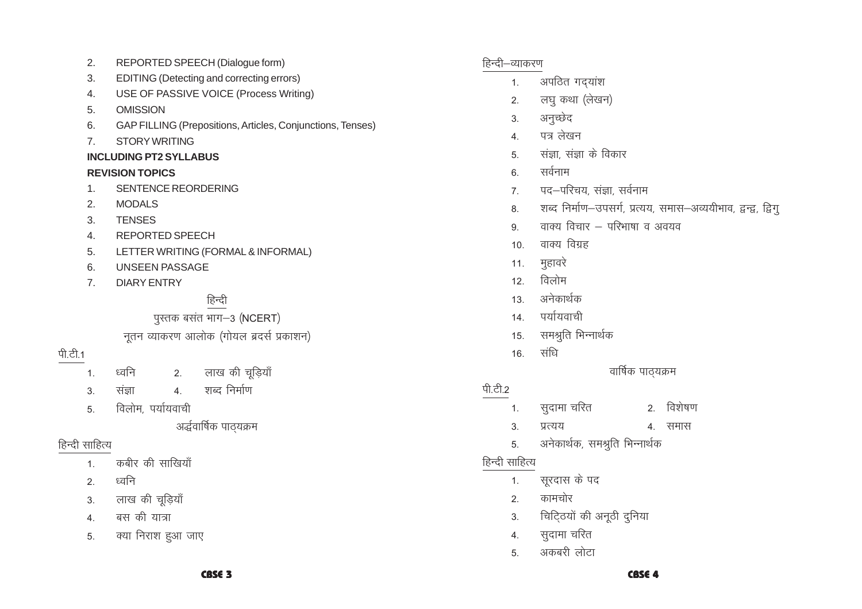#### CBSE<sub>3</sub>

- क्या निराश हुआ जाए
- 
- 5.
- $4.$
- 
- 
- 
- 
- 
- 
- 
- बस की यात्रा
- 
- 
- लाख की चूड़ियाँ
- 
- ध्वनि  $2.$

 $3.$ 

- हिन्दी साहित्य कबीर की साखियाँ  $1.$
- अर्द्धवार्षिक पाठ्यक्रम
- विलोम, पर्यायवाची
- $3.$ संज्ञा  $\overline{5}$
- शब्द निर्माण  $\overline{4}$ .
- पी.टी.1 2. लाख की चूड़ियाँ ध्वनि  $1.$
- नुतन व्याकरण आलोक (गोयल ब्रदर्स प्रकाशन)
- पुस्तक बसंत भाग-3 (NCERT)
- हिन्दी
- **DIARY ENTRY**
- LETTER WRITING (FORMAL & INFORMAL) 5. 6. **UNSEEN PASSAGE**
- **REPORTED SPEECH**
- $\overline{4}$ .
- $3.$ **TENSES**
- 
- $\overline{2}$ . **MODALS**

 $2.$ 

 $3.$ 

 $7<sub>1</sub>$ 

- SENTENCE REORDERING  $1<sub>1</sub>$
- 
- 
- 
- 
- 
- 
- 
- 
- 
- **REVISION TOPICS**
- 
- 
- 
- 
- 
- **INCLUDING PT2 SYLLABUS**
- 
- 
- **STORY WRITING**  $7.$
- GAP FILLING (Prepositions, Articles, Conjunctions, Tenses) 6.
- 
- USE OF PASSIVE VOICE (Process Writing)  $4.$ **OMISSION** 5.
- 
- EDITING (Detecting and correcting errors)
- 
- 
- 
- REPORTED SPEECH (Dialogue form)

- हिन्दी–व्याकरण
	- अपठित गद्यांश  $1.$
	- लघु कथा (लेखन)  $\overline{2}$ .
	- अनुच्छेद  $3.$
	- पत्र लेखन  $\overline{4}$
	- संज्ञा, संज्ञा के विकार  $\overline{5}$
	- सर्वनाम 6.
	- पद—परिचय, संज्ञा, सर्वनाम  $\overline{7}$
	- शब्द निर्माण-उपसर्ग, प्रत्यय, समास-अव्ययीभाव, द्वन्द्व, द्विगु 8.

वार्षिक पाठ्यक्रम

**CBSE 4** 

2. विशेषण

4. समास

- वाक्य विचार परिभाषा व अवयव 9
- 
- वाक्य विग्रह  $10<sup>1</sup>$

विलोम

अनेकार्थक

पर्यायवाची

सुदामा चरित

सूरदास के पद

सुदामा चरित

अकबरी लोटा

कामचोर

अनेकार्थक, समश्रुति भिन्नार्थक

चिटि्ठयों की अनूठी दुनिया

प्रत्यय

संधि

समश्रुति भिन्नार्थक

- 
- 
- 
- 
- 
- 
- 
- $11.$
- 
- मुहावरे
- 
- 
- 
- 
- 
- 
- 
- 
- 
- 
- 

 $12.$ 

 $13.$ 

 $14$ 

15.

16.

 $\overline{1}$ .

 $\overline{3}$ .

5.

 $1<sub>1</sub>$ 

 $2.$ 

 $3.$ 

 $4.$ 

5.

हिन्दी साहित्य

पी.टी.2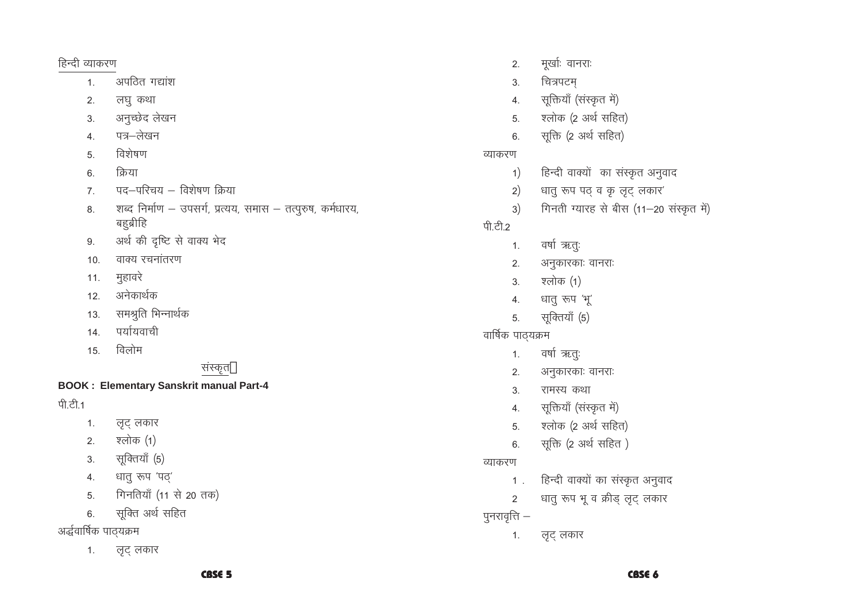#### CBSE 5

लुट् लकार  $1.$ 

# अर्द्धवार्षिक पाठ्यक्रम

- सूक्ति अर्थ सहित 6.
- गिनतियाँ (11 से 20 तक)  $5<sub>1</sub>$
- धातु रूप 'पठ्'  $4.$
- सूक्तियाँ (5)  $3.$
- श्लोक (1)  $2.$
- 
- लृट् लकार  $1.$

# पी.टी.1

# **BOOK: Elementary Sanskrit manual Part-4**

# संस्कृत '

- विलोम 15.
- पर्यायवाची  $14.$
- समश्रति भिन्नार्थक  $13.$
- अनेकार्थक  $12.$
- मुहावरे  $11.$
- वाक्य रचनांतरण  $10<sub>1</sub>$
- अर्थ की दृष्टि से वाक्य भेद 9.
- शब्द निर्माण उपसर्ग, प्रत्यय, समास तत्पुरुष, कर्मधारय, 8. बहब्रीहि
- पद-परिचय विशेषण क्रिया  $7<sub>1</sub>$
- क्रिया  $6.$
- विशेषण  $5<sub>1</sub>$
- पत्र–लेखन  $4.$
- अनुच्छेद लेखन  $3.$
- लघू कथा  $2.$
- अपठित गद्यांश  $1.$

हिन्दी व्याकरण

- लुट् लकार  $1.$
- पुनरावृत्ति $-$
- धातु रूप भू व क्रीड् लूट् लकार 2
- हिन्दी वाक्यों का संस्कृत अनुवाद  $1$ .

# व्याकरण

- सूक्ति (2 अर्थ सहित)  $6.$
- श्लोक (2 अर्थ सहित) 5.
- सूक्तियाँ (संस्कृत में)  $4.$
- $3<sub>1</sub>$ रामस्य कथा
- अनुकारकाः वानराः  $2.$
- वर्षा ऋतुः  $1.$

# वार्षिक पाठ्यक्रम

- सूक्तियाँ (5) 5.
- धातु रूप 'भू'  $\overline{4}$ .
- श्लोक (1)  $3.$
- अनुकारकाः वानराः  $2.$
- वर्षा ऋतुः  $1.$

# पी.टी.2

- गिनती ग्यारह से बीस (11-20 संस्कृत में)  $3)$
- $2)$ धातु रूप पढ् व कृ लूट् लकार'
- हिन्दी वाक्यों का संस्कृत अनुवाद  $1)$

# व्याकरण

- सूक्ति (2 अर्थ सहित)  $6.$
- श्लोक (2 अर्थ सहित)  $5<sub>1</sub>$
- सूक्तियाँ (संस्कृत में)  $\overline{4}$
- चित्रपटम्  $3.$
- मूर्खाः वानराः  $2.$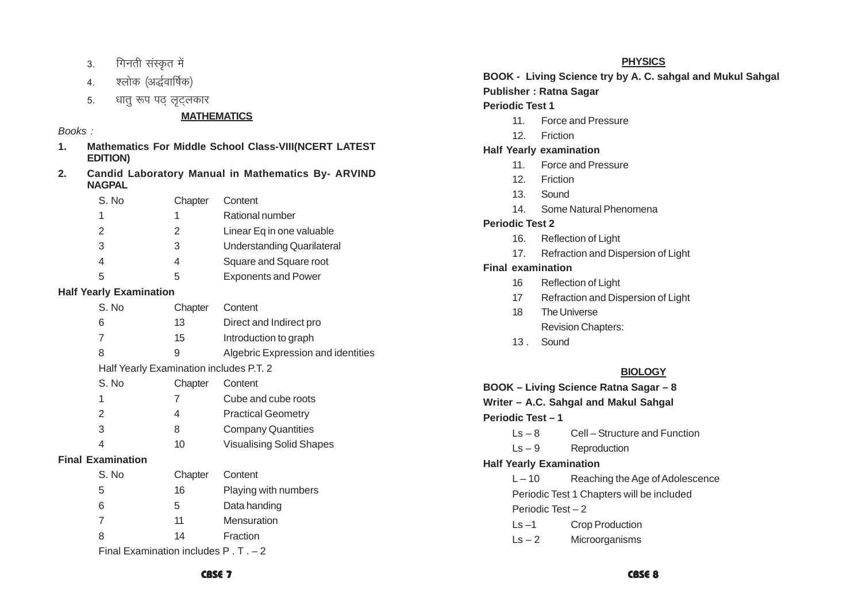- गिनती संस्कृत में  $3.$
- श्लोक (अर्द्धवार्षिक)  $\overline{4}$ .
- धातु रूप पठ लुटलकार  $5<sub>1</sub>$

#### **MATHEMATICS**

#### Books:

- Mathematics For Middle School Class-VIII(NCERT LATEST  $1<sub>1</sub>$ **EDITION)**
- **Candid Laboratory Manual in Mathematics By- ARVIND**  $2.$ **NAGPAL**

| S. No         | Chapter | Content                    |
|---------------|---------|----------------------------|
|               | 1       | Rational number            |
| $\mathcal{P}$ | 2       | Linear Eq in one valuable  |
| 3             | 3       | Understanding Quarilateral |
| 4             | 4       | Square and Square root     |
| .5            | 5       | <b>Exponents and Power</b> |

#### **Half Yearly Examination**

| S. No                                           | Chapter | Content                            |
|-------------------------------------------------|---------|------------------------------------|
| 6                                               | 13      | Direct and Indirect pro            |
| 7                                               | 15      | Introduction to graph              |
| 8                                               | 9       | Algebric Expression and identities |
| Half Yearly Examination includes P.T. 2         |         |                                    |
| S. No                                           | Chapter | Content                            |
| 1                                               | 7       | Cube and cube roots                |
| 2                                               | 4       | <b>Practical Geometry</b>          |
| 3                                               | 8       | <b>Company Quantities</b>          |
| 4                                               | 10      | <b>Visualising Solid Shapes</b>    |
| <b>Final Examination</b>                        |         |                                    |
| S. No                                           | Chapter | Content                            |
| 5                                               | 16      | Playing with numbers               |
| 6                                               | 5       | Data handing                       |
| 7                                               | 11      | <b>Mensuration</b>                 |
| 8                                               | 14      | Fraction                           |
| Final Examination includes $P \cdot T \cdot -2$ |         |                                    |

#### **PHYSICS**

BOOK - Living Science try by A. C. sahgal and Mukul Sahgal

#### **Publisher: Ratna Sagar**

#### **Periodic Test 1**

- Force and Pressure  $11$
- $12.$ Friction

#### **Half Yearly examination**

- **Force and Pressure**  $11.$
- 12. Friction
- 13. Sound
- 14 Some Natural Phenomena

#### **Periodic Test 2**

- Reflection of Light 16.
- $17<sup>7</sup>$ Refraction and Dispersion of Light

#### **Final examination**

- Reflection of Light  $16$
- Refraction and Dispersion of Light  $17$
- The Universe  $18$ **Revision Chapters:**
- 13. Sound

# **BIOLOGY**

BOOK - Living Science Ratna Sagar - 8 Writer - A.C. Sahgal and Makul Sahgal Periodic Test-1 Cell - Structure and Function  $Is - 8$ Reproduction  $\mathsf{Ls}-9$ **Half Yearly Examination** Reaching the Age of Adolescence  $L - 10$ Periodic Test 1 Chapters will be included Periodic Test - 2 **Crop Production**  $\mathsf{L}\mathsf{s}$  -1  $\mathsf{Ls}-2$ Microorganisms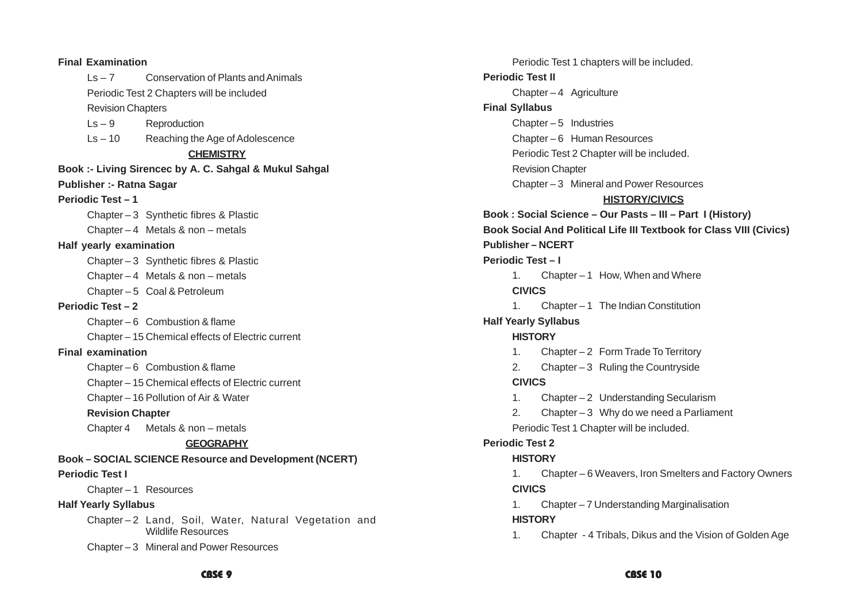| <b>Final Examination</b>        |                                                                                  |
|---------------------------------|----------------------------------------------------------------------------------|
| $\mathsf{Ls} - \mathsf{Z}$      | Conservation of Plants and Animals                                               |
|                                 | Periodic Test 2 Chapters will be included                                        |
| <b>Revision Chapters</b>        |                                                                                  |
| $\mathsf{Ls}-9$                 | Reproduction                                                                     |
|                                 | $\text{Ls} - 10$ Reaching the Age of Adolescence                                 |
|                                 | <b>CHEMISTRY</b>                                                                 |
|                                 | Book :- Living Sirencec by A. C. Sahgal & Mukul Sahgal                           |
| <b>Publisher :- Ratna Sagar</b> |                                                                                  |
| <b>Periodic Test - 1</b>        |                                                                                  |
|                                 | Chapter - 3 Synthetic fibres & Plastic                                           |
|                                 | Chapter $-4$ Metals & non $-$ metals                                             |
| Half yearly examination         |                                                                                  |
|                                 | Chapter - 3 Synthetic fibres & Plastic                                           |
|                                 | Chapter $-4$ Metals & non $-$ metals                                             |
|                                 | Chapter - 5 Coal & Petroleum                                                     |
| <b>Periodic Test-2</b>          |                                                                                  |
|                                 | Chapter $-6$ Combustion & flame                                                  |
|                                 | Chapter - 15 Chemical effects of Electric current                                |
| <b>Final examination</b>        |                                                                                  |
|                                 | Chapter $-6$ Combustion & flame                                                  |
|                                 | Chapter - 15 Chemical effects of Electric current                                |
|                                 | Chapter - 16 Pollution of Air & Water                                            |
| <b>Revision Chapter</b>         |                                                                                  |
|                                 | Chapter 4 Metals $&$ non $-$ metals                                              |
|                                 | <b>GEOGRAPHY</b>                                                                 |
|                                 | Book - SOCIAL SCIENCE Resource and Development (NCERT)                           |
| <b>Periodic Test I</b>          |                                                                                  |
| Chapter-1 Resources             |                                                                                  |
| <b>Half Yearly Syllabus</b>     |                                                                                  |
|                                 | Chapter-2 Land, Soil, Water, Natural Vegetation and<br><b>Wildlife Resources</b> |
|                                 | Chapter - 3 Mineral and Power Resources                                          |
|                                 |                                                                                  |

Periodic Test 1 chapters will be included. **Periodic Test II** Chapter – 4 Agriculture **Final Syllabus** Chapter  $-5$  Industries Chapter – 6 Human Resources Periodic Test 2 Chapter will be included. Revision Chapter Chapter – 3 Mineral and Power Resources **HISTORY/CIVICS Book : Social Science – Our Pasts – III – Part I (History) Book Social And Political Life III Textbook for Class VIII (Civics) Publisher – NCERT Periodic Test – I** 1. Chapter – 1 How, When and Where **CIVICS** 1. Chapter – 1 The Indian Constitution **Half Yearly Syllabus HISTORY** 1. Chapter – 2 Form Trade To Territory 2. Chapter – 3 Ruling the Countryside **CIVICS** 1. Chapter – 2 Understanding Secularism 2. Chapter – 3 Why do we need a Parliament Periodic Test 1 Chapter will be included. **Periodic Test 2 HISTORY** 1. Chapter – 6 Weavers, Iron Smelters and Factory Owners **CIVICS** 1. Chapter – 7 Understanding Marginalisation **HISTORY** 1. Chapter - 4 Tribals, Dikus and the Vision of Golden Age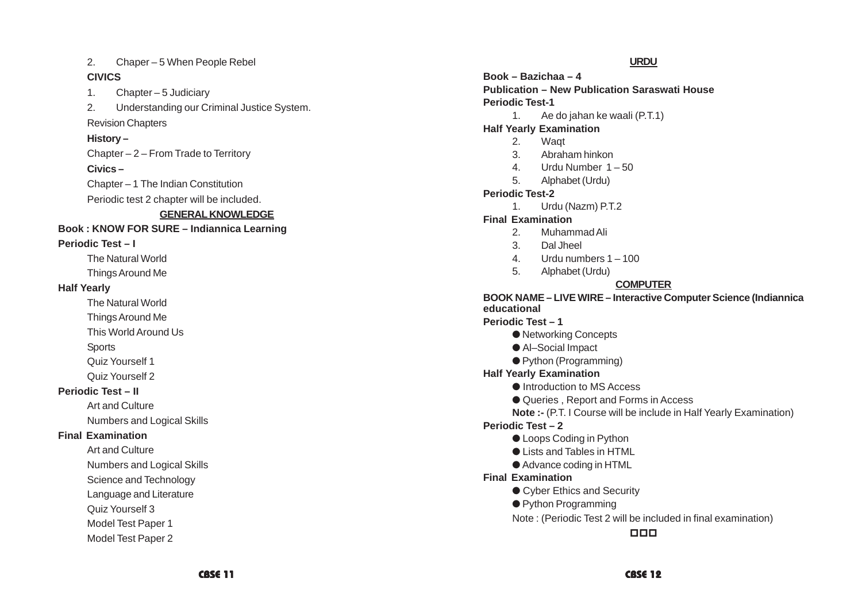2. Chaper – 5 When People Rebel

#### **CIVICS**

1. Chapter – 5 Judiciary

2. Understanding our Criminal Justice System.

Revision Chapters

#### **History –**

Chapter – 2 – From Trade to Territory

**Civics –**

Chapter – 1 The Indian Constitution

Periodic test 2 chapter will be included.

# **GENERAL KNOWLEDGE**

#### **Book : KNOW FOR SURE – Indiannica Learning**

### **Periodic Test – I**

The Natural World

Things Around Me

#### **Half Yearly**

The Natural World

Things Around Me

This World Around Us

**Sports** 

Quiz Yourself 1

Quiz Yourself 2

# **Periodic Test – II**

Art and Culture

Numbers and Logical Skills

# **Final Examination**

Art and Culture

Numbers and Logical Skills

Science and Technology

Language and Literature

Quiz Yourself 3

Model Test Paper 1

Model Test Paper 2

#### **URDU**

**Book – Bazichaa – 4 Publication – New Publication Saraswati House Periodic Test-1**

1. Ae do jahan ke waali (P.T.1)

# **Half Yearly Examination**

- 2. Waqt
- 3. Abraham hinkon
- 4. Urdu Number 1 50
- 5. Alphabet (Urdu)

# **Periodic Test-2**

1. Urdu (Nazm) P.T.2

# **Final Examination**

- 2. Muhammad Ali
- 3. Dal Jheel
- 4. Urdu numbers 1 100
- 5. Alphabet (Urdu)

# **COMPUTER**

#### **BOOK NAME – LIVE WIRE – Interactive Computer Science (Indiannica educational**

**Periodic Test – 1**

- Networking Concepts
- Al–Social Impact
- Python (Programming)

# **Half Yearly Examination**

- Introduction to MS Access
- Queries, Report and Forms in Access
- **Note :-** (P.T. I Course will be include in Half Yearly Examination)

# **Periodic Test – 2**

- Loops Coding in Python
- Lists and Tables in HTML
- Advance coding in HTML

### **Final Examination**

- Cyber Ethics and Security
- Python Programming
- Note : (Periodic Test 2 will be included in final examination)

 $\Box$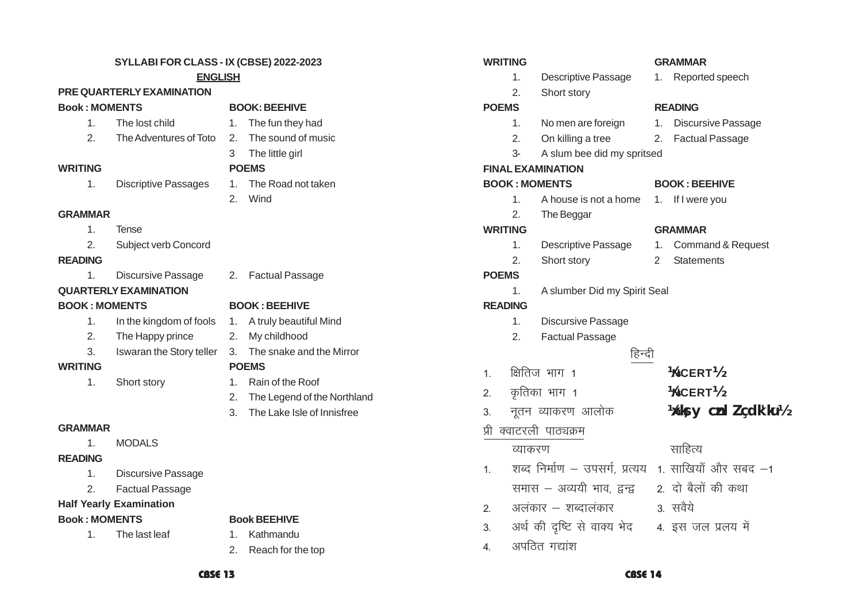#### **SYLLABI FOR CLASS - IX (CBSE) 2022-2023 ENGLISH**

#### **PRE QUARTERLY EXAMINATION**

#### **Book : MOMENTS BOOK: BEEHIVE**

- 1. The lost child 1. The fun they had
- 2. The Adventures of Toto 2. The sound of music
- 
- **WRITING POEMS**
	- 1. Discriptive Passages 1. The Road not taken
		- 2. Wind

3 The little girl

- **GRAMMAR**
	- 1. Tense
	- 2. Subject verb Concord

#### **READING**

1. Discursive Passage 2. Factual Passage

#### **QUARTERLY EXAMINATION BOOK : MOMENTS BOOK : BEEHIVE**

- 1. In the kingdom of fools 1. A truly beautiful Mind
- 2. The Happy prince 2. My childhood
- 

#### **WRITING POEMS**

- 
- -
	-

- 1. Short story 1. Rain of the Roof
	- 2. The Legend of the Northland
	- 3. The Lake Isle of Innisfree

#### **GRAMMAR**

1. MODALS

#### **READING**

- 1. Discursive Passage
- 2. Factual Passage

# **Half Yearly Examination**

#### **Book : MOMENTS Book BEEHIVE**

- 1. The last leaf 1. Kathmandu
- - 2. Reach for the top

| <b>WRITING</b>       |                          |
|----------------------|--------------------------|
| 1.                   | Descriptive              |
| 2.                   | Short story              |
| <b>POEMS</b>         |                          |
| 1.                   | No men are               |
| 2.                   | On killing a             |
| 3-                   | A slum bee               |
|                      |                          |
|                      | <b>FINAL EXAMINATION</b> |
| <b>BOOK: MOMENTS</b> |                          |
| 1.                   | A house is               |
| 2.                   | The Beggar               |
| <b>WRITING</b>       |                          |
| 1.                   | Descriptive              |
| 2.                   | Short story              |

# **POEMS READING** re foreign 1. Discursive Passage a tree 2. Factual Passage e did my spritsed  $BOOK$  : BEEHIVE not a home 1. If I were you 2. The Beggar **WRITING GRAMMAR** e Passage 1. Command & Request v 2 Statements 1. A slumber Did my Spirit Seal 1. Discursive Passage 2. Factual Passage हिन्दी **¼NCERT½ ¼NCERT½**  $1 - \mathbb{R}$ तिज $\pi$  भाग 1 3. नुतन व्याकरण आलोक **¼ks v cnl Z çdk'ku½** <u>व्याकरण साहित्य</u> 1. शब्द निर्माण – उपसर्ग, प्रत्यय 1. साखियाँ और सबद –1 समास – अव्ययी भाव द्वन्द्व  $\overline{z}$ ) दो बैलों की कथा 2- vyadkj & 'kCnkyadkj 3- loS;s 3. अर्थ की दृष्टि से वाक्य भेद 94. इस जल प्रलय में

4 अपठित गद्यांश

#### **WRITING GRAMMAR**

- e Passage 1. Reported speech
	-

# **POEMS**

#### **READING**

- 
- 2. कृतिका भाग 1
- 

## प्री क्वाटरली पाठ्यक्रम

- -
- -
- 3. Iswaran the Story teller 3. The snake and the Mirror



- 
- -
	-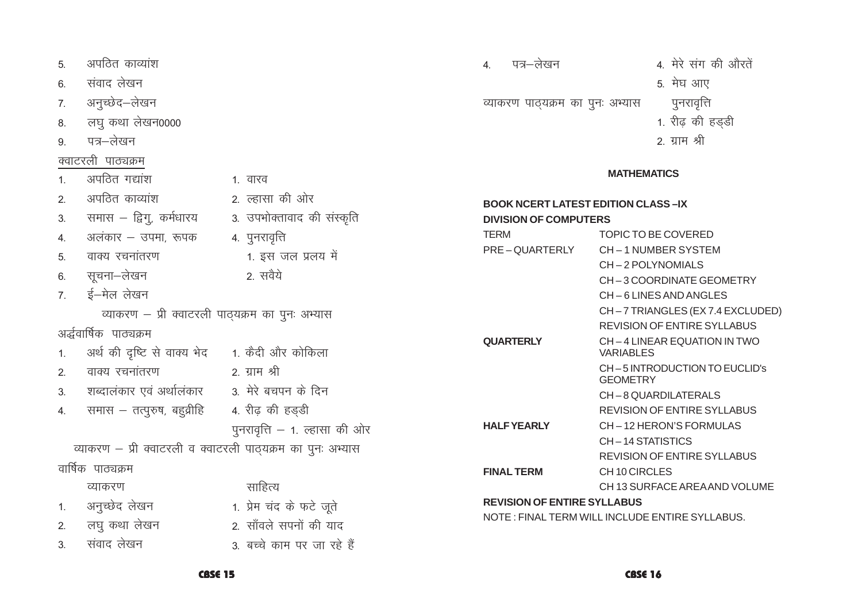#### CBSE 15

**CBSE 16** 

| 7. | अनुच्छेद–लेखन                                               |                               |  |
|----|-------------------------------------------------------------|-------------------------------|--|
|    | 8. लघु कथा लेखन0000                                         |                               |  |
| 9. | पत्र–लेखन                                                   |                               |  |
|    | क्वाटरली पाठ्यक्रम                                          |                               |  |
| 1. | अपठित गद्यांश                                               | 1. वारव                       |  |
| 2. | अपठित काव्यांश                                              | 2. ल्हासा की ओर               |  |
|    | 3.      समास – द्विगु, कर्मधारय                             | 3. उपभोक्तावाद की संस्कृति    |  |
|    | 4. अलंकार – उपमा, रूपक                                      | 4. पुनरावृत्ति                |  |
|    | 5. वाक्य रचनांतरण                                           | 1. इस जल प्रलय में            |  |
|    | 6. सूचना—लेखन                                               | 2. सवैये                      |  |
|    | 7. ई-मेल लेखन                                               |                               |  |
|    | व्याकरण - प्री क्वाटरली पाठ्यक्रम का पुनः अभ्यास            |                               |  |
|    |                                                             |                               |  |
|    | अर्द्धवार्षिक पाठ्यक्रम                                     |                               |  |
| 1. | अर्थ की दृष्टि से वाक्य भेद 1. कैदी और कोकिला               |                               |  |
| 2. | वाक्य रचनांतरण                                              | 2. ग्राम श्री                 |  |
|    | 3. शब्दालंकार एवं अर्थालंकार 28. मेरे बचपन के दिन           |                               |  |
|    | 4. समास – तत्पुरुष, बहुव्रीहि       4. रीढ़ की हड्डी        |                               |  |
|    |                                                             | पुनरावृत्ति – 1. ल्हासा की ओर |  |
|    | व्याकरण – प्री क्वाटरली व क्वाटरली पाठ्यक्रम का पुनः अभ्यास |                               |  |
|    | वार्षिक पाठ्यक्रम                                           |                               |  |
|    | व्याकरण                                                     | साहित्य                       |  |
|    | 1. अनुच्छेद लेखन                                            | 1. प्रेम चंद के फटे जूते      |  |
|    | 2. लघु कथा लेखन                                             | 2. सॉंवले सपनों की याद        |  |

अपठित काव्यांश

संवाद लेखन

 $5<sub>1</sub>$ 

6.

| व्याकरण पाठ्यक्रम का पुनः अभ्यास                                          | पुनरावृत्ति                                      |
|---------------------------------------------------------------------------|--------------------------------------------------|
|                                                                           | 1. रीढ़ की हड्डी                                 |
|                                                                           | 2. ग्राम श्री                                    |
|                                                                           |                                                  |
|                                                                           | <b>MATHEMATICS</b>                               |
| <b>BOOK NCERT LATEST EDITION CLASS-IX</b><br><b>DIVISION OF COMPUTERS</b> |                                                  |
| <b>TERM</b>                                                               | TOPIC TO BE COVERED                              |
| PRE – QUARTERLY                                                           | CH-1 NUMBER SYSTEM                               |
|                                                                           | CH-2 POLYNOMIALS                                 |
|                                                                           | CH-3 COORDINATE GEOMETRY                         |
|                                                                           | CH-6 LINES AND ANGLES                            |
|                                                                           | CH-7 TRIANGLES (EX 7.4 EXCLUDED)                 |
|                                                                           | <b>REVISION OF ENTIRE SYLLABUS</b>               |
| <b>QUARTERLY</b>                                                          | CH-4 LINEAR EQUATION IN TWO<br><b>VARIABLES</b>  |
|                                                                           | CH-5 INTRODUCTION TO EUCLID'S<br><b>GEOMETRY</b> |
|                                                                           | CH-8 QUARDILATERALS                              |
|                                                                           | <b>REVISION OF ENTIRE SYLLABUS</b>               |
| <b>HALFYEARLY</b>                                                         | CH-12 HERON'S FORMULAS                           |
|                                                                           | CH-14 STATISTICS                                 |
|                                                                           | <b>REVISION OF ENTIRE SYLLABUS</b>               |
| <b>FINAL TERM</b>                                                         | CH <sub>10</sub> CIRCLES                         |
|                                                                           | CH 13 SURFACE AREA AND VOLUME                    |
| <b>REVISION OF ENTIRE SYLLABUS</b>                                        |                                                  |
|                                                                           | NOTE: FINAL TERM WILL INCLUDE ENTIRE SYLLABUS.   |

5. मेघ आए

4. मेरे संग की औरतें

4. पत्र–लेखन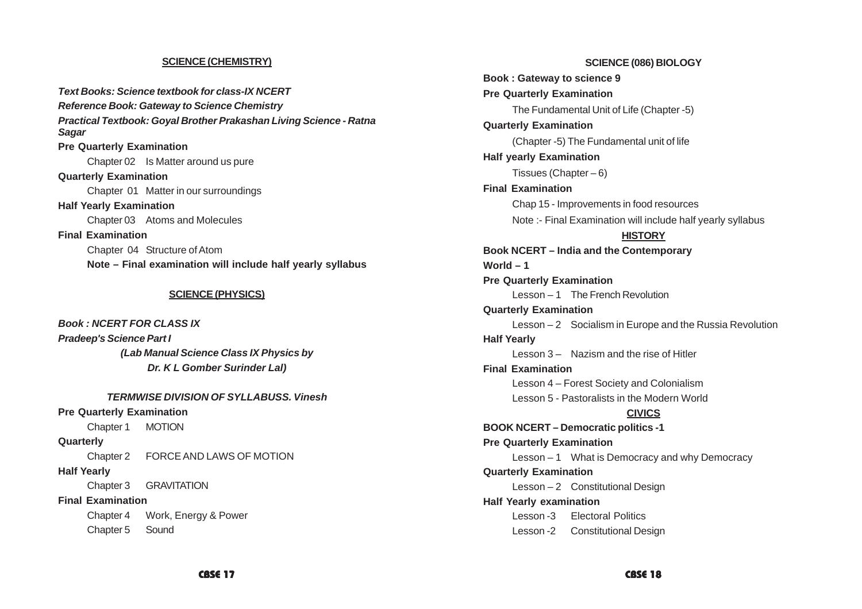#### **SCIENCE (CHEMISTRY)**

*Text Books: Science textbook for class-IX NCERT Reference Book: Gateway to Science Chemistry Practical Textbook: Goyal Brother Prakashan Living Science - Ratna Sagar* **Pre Quarterly Examination** Chapter 02 Is Matter around us pure **Quarterly Examination** Chapter 01 Matter in our surroundings **Half Yearly Examination** Chapter 03 Atoms and Molecules **Final Examination** Chapter 04 Structure of Atom **Note – Final examination will include half yearly syllabus**

#### **SCIENCE (PHYSICS)**

*Book : NCERT FOR CLASS IX Pradeep's Science Part I (Lab Manual Science Class IX Physics by Dr. K L Gomber Surinder Lal)*

*TERMWISE DIVISION OF SYLLABUSS. Vinesh* **Pre Quarterly Examination** Chapter 1 MOTION **Quarterly** Chapter 2 FORCE AND LAWS OF MOTION **Half Yearly** Chapter 3 GRAVITATION **Final Examination** Chapter 4 Work, Energy & Power Chapter 5 Sound

**SCIENCE (086) BIOLOGY Book : Gateway to science 9 Pre Quarterly Examination** The Fundamental Unit of Life (Chapter -5) **Quarterly Examination** (Chapter -5) The Fundamental unit of life **Half yearly Examination** Tissues (Chapter  $-6$ ) **Final Examination** Chap 15 - Improvements in food resources Note :- Final Examination will include half yearly syllabus **HISTORY Book NCERT – India and the Contemporary World – 1 Pre Quarterly Examination** Lesson – 1 The French Revolution **Quarterly Examination** Lesson – 2 Socialism in Europe and the Russia Revolution **Half Yearly** Lesson 3 – Nazism and the rise of Hitler **Final Examination** Lesson 4 – Forest Society and Colonialism Lesson 5 - Pastoralists in the Modern World **CIVICS BOOK NCERT – Democratic politics -1 Pre Quarterly Examination** Lesson – 1 What is Democracy and why Democracy **Quarterly Examination** Lesson – 2 Constitutional Design **Half Yearly examination** Lesson -3 Electoral Politics Lesson -2 Constitutional Design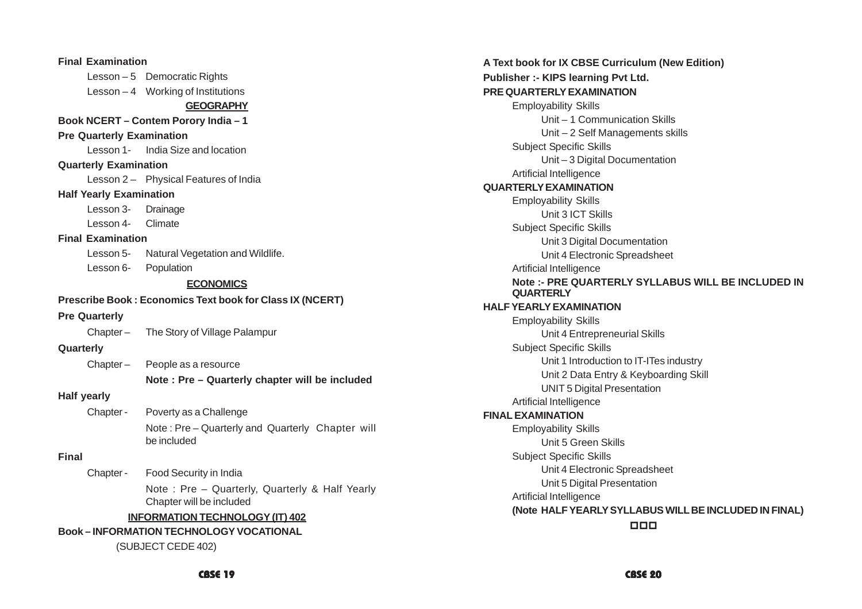| <b>Final Examination</b>         |                                                                            |
|----------------------------------|----------------------------------------------------------------------------|
|                                  | Lesson - 5 Democratic Rights                                               |
|                                  | Lesson - 4 Working of Institutions                                         |
|                                  | <b>GEOGRAPHY</b>                                                           |
|                                  | Book NCERT - Contem Porory India - 1                                       |
| <b>Pre Quarterly Examination</b> |                                                                            |
|                                  | Lesson 1- India Size and location                                          |
| <b>Quarterly Examination</b>     |                                                                            |
|                                  | Lesson 2- Physical Features of India                                       |
| <b>Half Yearly Examination</b>   |                                                                            |
| Lesson 3- Drainage               |                                                                            |
| Lesson 4- Climate                |                                                                            |
| <b>Final Examination</b>         |                                                                            |
|                                  | Lesson 5- Natural Vegetation and Wildlife.                                 |
| Lesson 6- Population             |                                                                            |
|                                  | <b>ECONOMICS</b>                                                           |
|                                  | Prescribe Book: Economics Text book for Class IX (NCERT)                   |
| <b>Pre Quarterly</b>             |                                                                            |
|                                  | Chapter - The Story of Village Palampur                                    |
| Quarterly                        |                                                                            |
|                                  | Chapter - People as a resource                                             |
|                                  | Note: Pre - Quarterly chapter will be included                             |
| <b>Half yearly</b>               |                                                                            |
| Chapter -                        | Poverty as a Challenge                                                     |
|                                  | Note: Pre-Quarterly and Quarterly Chapter will<br>be included              |
| <b>Final</b>                     |                                                                            |
| Chapter -                        | Food Security in India                                                     |
|                                  | Note: Pre - Quarterly, Quarterly & Half Yearly<br>Chapter will be included |
|                                  | <b>INFORMATION TECHNOLOGY (IT) 402</b>                                     |
|                                  | <b>Book-INFORMATION TECHNOLOGY VOCATIONAL</b>                              |
|                                  | (SUBJECT CEDE 402)                                                         |

**A Text book for IX CBSE Curriculum (New Edition) Publisher :- KIPS learning Pvt Ltd. PRE QUARTERLY EXAMINATION** Employability Skills Unit – 1 Communication Skills Unit – 2 Self Managements skills Subject Specific Skills Unit – 3 Digital Documentation Artificial Intelligence **QUARTERLY EXAMINATION** Employability Skills Unit 3 ICT Skills Subject Specific Skills Unit 3 Digital Documentation Unit 4 Electronic Spreadsheet Artificial Intelligence **Note :- PRE QUARTERLY SYLLABUS WILL BE INCLUDED IN QUARTERLY HALF YEARLY EXAMINATION** Employability Skills Unit 4 Entrepreneurial Skills Subject Specific Skills Unit 1 Introduction to IT-ITes industry Unit 2 Data Entry & Keyboarding Skill UNIT 5 Digital Presentation Artificial Intelligence **FINAL EXAMINATION** Employability Skills Unit 5 Green Skills Subject Specific Skills Unit 4 Electronic Spreadsheet Unit 5 Digital Presentation Artificial Intelligence **(Note HALF YEARLY SYLLABUS WILL BE INCLUDED IN FINAL)**  $\Box$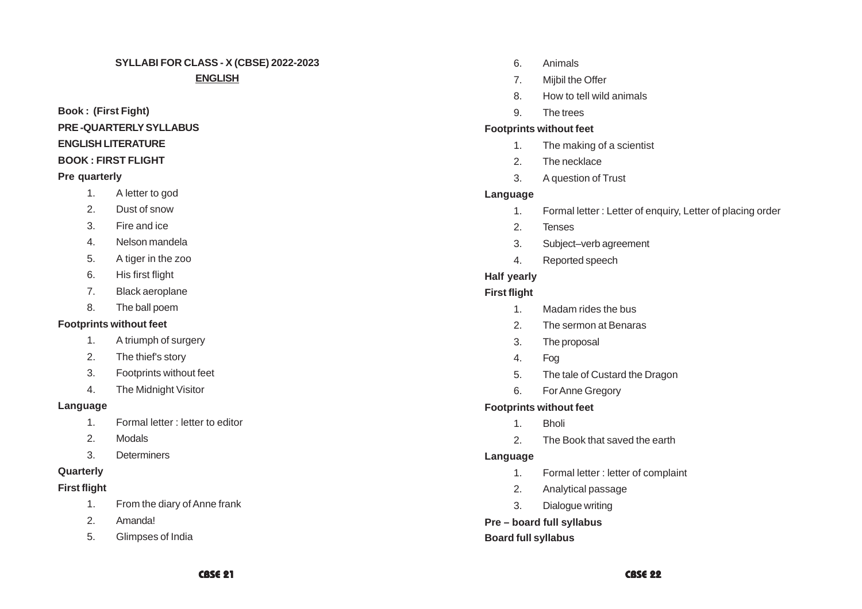# **SYLLABI FOR CLASS - X (CBSE) 2022-2023**

#### **ENGLISH**

# **Book : (First Fight) PRE -QUARTERLY SYLLABUS ENGLISH LITERATURE**

#### **BOOK : FIRST FLIGHT**

#### **Pre quarterly**

- 1. A letter to god
- 2. Dust of snow
- 3. Fire and ice
- 4. Nelson mandela
- 5. A tiger in the zoo
- 6. His first flight
- 7. Black aeroplane
- 8. The ball poem

# **Footprints without feet**

- 1. A triumph of surgery
- 2. The thief's story
- 3. Footprints without feet
- 4. The Midnight Visitor

# **Language**

- 1. Formal letter : letter to editor
- 2. Modals
- 3. Determiners

# **Quarterly**

# **First flight**

- 1. From the diary of Anne frank
- 2. Amanda!
- 5. Glimpses of India
- 6. Animals
- 7. Mijbil the Offer
- 8. How to tell wild animals
- 9. The trees

# **Footprints without feet**

- 1. The making of a scientist
- 2. The necklace
- 3. A question of Trust

# **Language**

- 1. Formal letter : Letter of enquiry, Letter of placing order
- 2. Tenses
- 3. Subject–verb agreement
- 4. Reported speech

# **Half yearly**

# **First flight**

- 1. Madam rides the bus
- 2. The sermon at Benaras
- 3. The proposal
- 4. Fog
- 5. The tale of Custard the Dragon
- 6. For Anne Gregory

# **Footprints without feet**

- 1. Bholi
- 2. The Book that saved the earth

# **Language**

- 1. Formal letter : letter of complaint
- 2. Analytical passage
- 3. Dialogue writing

# **Pre – board full syllabus**

# **Board full syllabus**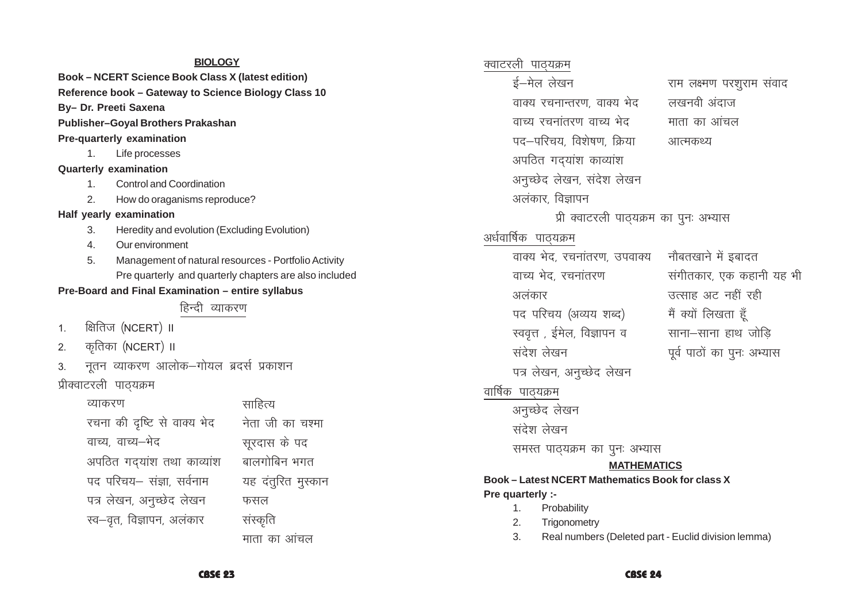#### **BIOLOGY**

**Book-NCERT Science Book Class X (latest edition)** Reference book - Gateway to Science Biology Class 10 By- Dr. Preeti Saxena **Publisher-Goval Brothers Prakashan Pre-quarterly examination**  $1<sub>1</sub>$ Life processes **Quarterly examination Control and Coordination**  $1<sub>1</sub>$  $2.$ How do oraganisms reproduce? Half yearly examination  $\mathcal{R}$ Heredity and evolution (Excluding Evolution)  $\overline{4}$ Our environment 5. Management of natural resources - Portfolio Activity Pre quarterly and quarterly chapters are also included Pre-Board and Final Examination - entire syllabus हिन्दी व्याकरण क्षितिज (NCERT) II  $\mathbf{1}$ . कृतिका (NCERT) ॥  $\mathcal{P}$ नतन व्याकरण आलोक–गोयल ब्रदर्स प्रकाशन  $3.$ प्रीक्वाटरली पाठ्यक्रम साहित्य व्याकरण रचना की दृष्टि से वाक्य भेद नेता जी का चश्मा वाच्य, वाच्य–भेद सरदास के पद अपठित गदयांश तथा काव्यांश वालगोबिन भगत पद परिचय– संज्ञा, सर्वनाम यह दंतुरित मुस्कान पत्र लेखन, अनुच्छेद लेखन फसल स्व-नवत, विज्ञापन, अलंकार संस्कृति माता का आंचल

क्वाटरली पाठयक्रम ई-मेल लेखन राम लक्ष्मण परशराम संवाद वाक्य रचनान्तरण, वाक्य भेद लखनवी अंदाज वाच्य रचनांतरण वाच्य भेद ਸ਼ਾਰਾ का आंचल पद—परिचय विशेषण क्रिया आत्मकथ्य अपठित गदयांश काव्यांश अनुच्छेद लेखन, संदेश लेखन अलंकार विज्ञापन प्री क्वाटरली पाठ्यक्रम का पूनः अभ्यास अर्धवार्षिक पाठयक्रम वाक्य भेद, रचनांतरण, उपवाक्य नौबतखाने में इबादत वाच्य भेद, रचनांतरण संगीतकार, एक कहानी यह भी उत्साह अट नहीं रही अलंकार पद परिचय (अव्यय शब्द) मैं क्यों लिखता हँ साना–साना हाथ जोडि स्ववृत्त , ईमेल, विज्ञापन व संदेश लेखन पूर्व पाठों का पुनः अभ्यास पत्र लेखन, अनुच्छेद लेखन वार्षिक पाठ्यक्रम अनच्छेद लेखन संदेश लेखन समस्त पाठ्यक्रम का पुनः अभ्यास **MATHEMATICS Book-Latest NCERT Mathematics Book for class X** Pre quarterly :- $\mathbf{1}$ Probability  $2.$ Trigonometry  $3.$ Real numbers (Deleted part - Euclid division lemma)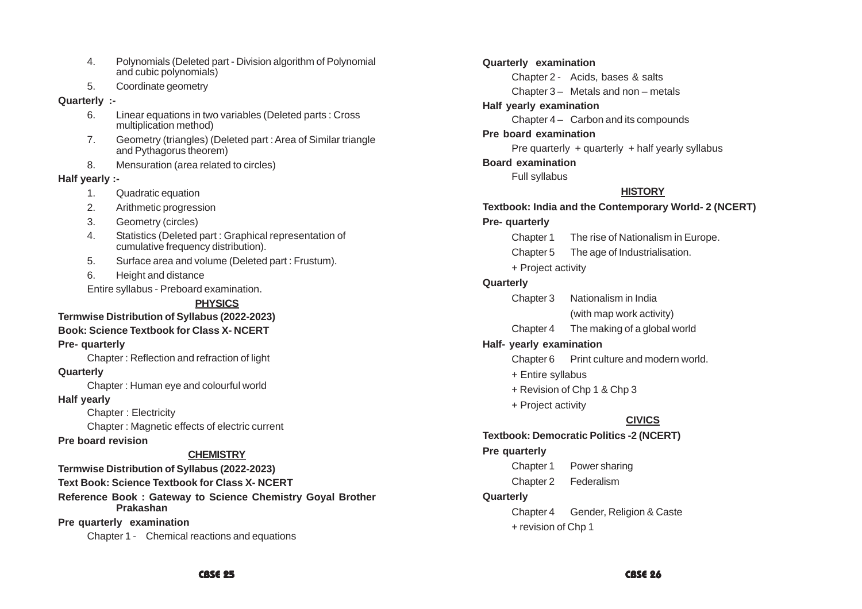- 4. Polynomials (Deleted part Division algorithm of Polynomial and cubic polynomials)
- 5. Coordinate geometry

#### **Quarterly :-**

- 6. Linear equations in two variables (Deleted parts : Cross multiplication method)
- 7. Geometry (triangles) (Deleted part : Area of Similar triangle and Pythagorus theorem)
- 8. Mensuration (area related to circles)

#### **Half yearly :-**

- 1. Quadratic equation
- 2. Arithmetic progression
- 3. Geometry (circles)
- 4. Statistics (Deleted part : Graphical representation of cumulative frequency distribution).
- 5. Surface area and volume (Deleted part : Frustum).
- 6. Height and distance

Entire syllabus - Preboard examination.

# **PHYSICS**

#### **Termwise Distribution of Syllabus (2022-2023)**

#### **Book: Science Textbook for Class X- NCERT**

#### **Pre- quarterly**

Chapter : Reflection and refraction of light

#### **Quarterly**

Chapter : Human eye and colourful world

#### **Half yearly**

Chapter : Electricity

Chapter : Magnetic effects of electric current

**Pre board revision**

### **CHEMISTRY**

**Termwise Distribution of Syllabus (2022-2023)**

**Text Book: Science Textbook for Class X- NCERT**

**Reference Book : Gateway to Science Chemistry Goyal Brother Prakashan**

#### **Pre quarterly examination**

Chapter 1 - Chemical reactions and equations

**Quarterly examination** Chapter 2 - Acids, bases & salts Chapter 3 – Metals and non – metals **Half yearly examination** Chapter 4 – Carbon and its compounds **Pre board examination** Pre quarterly  $+$  quarterly  $+$  half yearly syllabus **Board examination** Full syllabus **HISTORY Textbook: India and the Contemporary World- 2 (NCERT) Pre- quarterly** Chapter 1 The rise of Nationalism in Europe. Chapter 5 The age of Industrialisation. + Project activity **Quarterly** Chapter 3 Nationalism in India (with map work activity) Chapter 4 The making of a global world **Half- yearly examination** Chapter 6 Print culture and modern world. + Entire syllabus + Revision of Chp 1 & Chp 3 + Project activity **CIVICS Textbook: Democratic Politics -2 (NCERT) Pre quarterly** Chapter 1 Power sharing Chapter 2 Federalism **Quarterly** Chapter 4 Gender, Religion & Caste + revision of Chp 1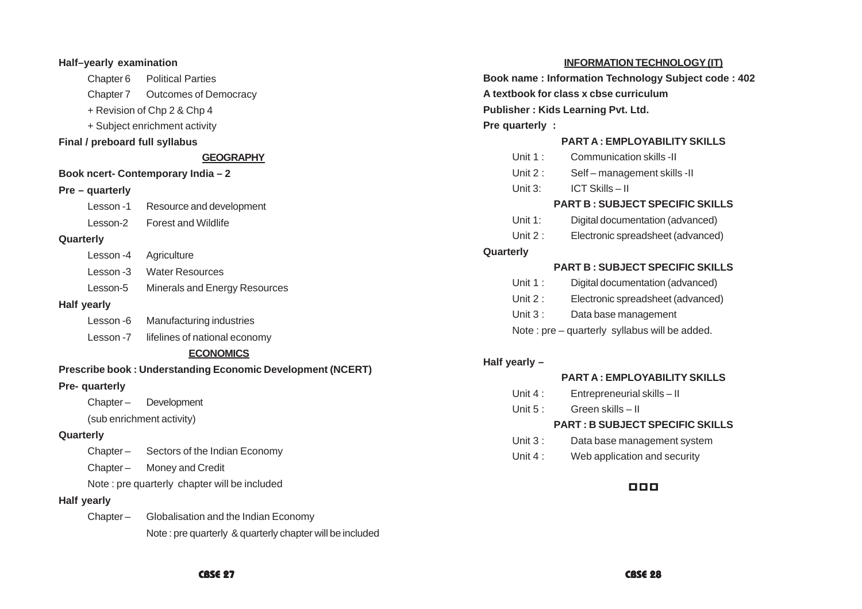| Half-yearly examination        |                                                                   |
|--------------------------------|-------------------------------------------------------------------|
|                                | Chapter 6 Political Parties                                       |
|                                | Chapter 7 Outcomes of Democracy                                   |
|                                | + Revision of Chp 2 & Chp 4                                       |
|                                | + Subject enrichment activity                                     |
| Final / preboard full syllabus |                                                                   |
|                                | <b>GEOGRAPHY</b>                                                  |
|                                | Book ncert- Contemporary India - 2                                |
| Pre - quarterly                |                                                                   |
|                                | Lesson -1 Resource and development                                |
|                                | Lesson-2 Forest and Wildlife                                      |
| Quarterly                      |                                                                   |
| Lesson -4 Agriculture          |                                                                   |
|                                | Lesson -3 Water Resources                                         |
| Lesson-5                       | Minerals and Energy Resources                                     |
| <b>Half yearly</b>             |                                                                   |
|                                | Lesson -6 Manufacturing industries                                |
|                                | Lesson -7 lifelines of national economy                           |
|                                | <b>ECONOMICS</b>                                                  |
|                                | <b>Prescribe book: Understanding Economic Development (NCERT)</b> |
| Pre- quarterly                 |                                                                   |
|                                | Chapter - Development                                             |
|                                | (sub enrichment activity)                                         |
| Quarterly                      |                                                                   |
|                                | Chapter - Sectors of the Indian Economy                           |
|                                | Chapter - Money and Credit                                        |
|                                | Note : pre quarterly chapter will be included                     |
| <b>Half yearly</b>             |                                                                   |
| Chapter-                       | Globalisation and the Indian Economy                              |
|                                | Note : pre quarterly & quarterly chapter will be included         |

#### **INFORMATION TECHNOLOGY (IT)**

| Book name: Information Technology Subject code: 402 |
|-----------------------------------------------------|
| A textbook for class x cbse curriculum              |
| Publisher: Kids Learning Pvt. Ltd.                  |
| Pre quarterly:                                      |
| <b>PART A: EMPLOYABILITY SKILLS</b>                 |
|                                                     |

| Unit $1:$ | Communication skills -II |  |
|-----------|--------------------------|--|
|           |                          |  |

- Unit 2 : Self management skills -II
- Unit 3: ICT Skills II

#### **PART B : SUBJECT SPECIFIC SKILLS**

- Unit 1: Digital documentation (advanced)
- Unit 2 : Electronic spreadsheet (advanced)

#### **Quarterly**

#### **PART B : SUBJECT SPECIFIC SKILLS**

- Unit 1 : Digital documentation (advanced)
- Unit 2 : Electronic spreadsheet (advanced)
- Unit 3 : Data base management
- Note : pre quarterly syllabus will be added.

#### **Half yearly –**

#### **PART A : EMPLOYABILITY SKILLS**

- Unit 4 : Entrepreneurial skills II
- Unit 5: Green skills II

#### **PART : B SUBJECT SPECIFIC SKILLS**

- Unit 3 : Data base management system
- Unit 4 : Web application and security

#### 000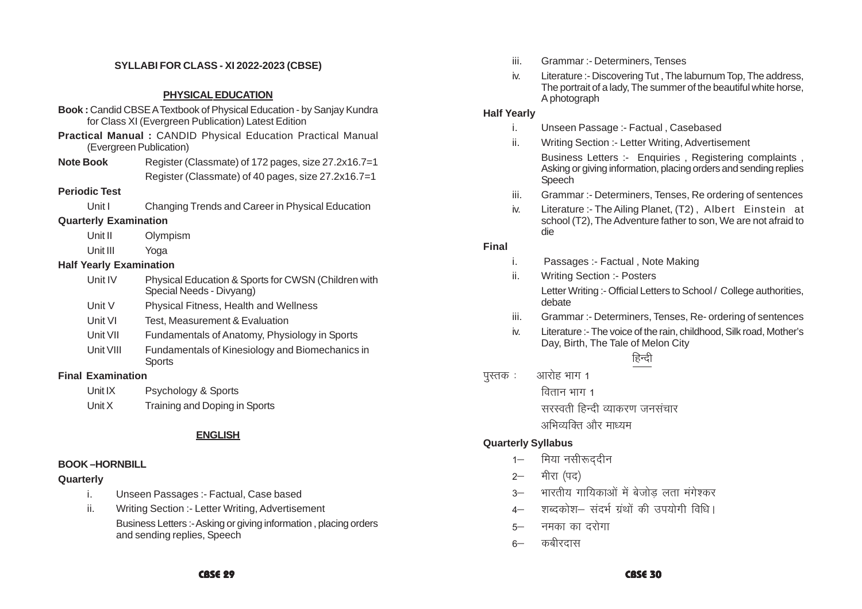#### **SYLLABI FOR CLASS - XI 2022-2023 (CBSE)**

#### **PHYSICAL EDUCATION**

- **Book :** Candid CBSE A Textbook of Physical Education by Sanjay Kundra for Class XI (Evergreen Publication) Latest Edition
- **Practical Manual :** CANDID Physical Education Practical Manual (Evergreen Publication)
- **Note Book** Register (Classmate) of 172 pages, size 27.2x16.7=1 Register (Classmate) of 40 pages, size 27.2x16.7=1

#### **Periodic Test**

Unit I Changing Trends and Career in Physical Education

#### **Quarterly Examination**

Unit II Olympism

Unit III Yoga

#### **Half Yearly Examination**

| Unit IV | Physical Education & Sports for CWSN (Children with<br>Special Needs - Divyang) |
|---------|---------------------------------------------------------------------------------|
| Unit V  | <b>Physical Fitness. Health and Wellness</b>                                    |

- Unit VI Test, Measurement & Evaluation
- Unit VII Fundamentals of Anatomy, Physiology in Sports
- Unit VIII Fundamentals of Kinesiology and Biomechanics in **Sports**

#### **Final Examination**

- Unit IX Psychology & Sports
- Unit X Training and Doping in Sports

### **ENGLISH**

#### **BOOK –HORNBILL**

#### **Quarterly**

- i. Unseen Passages :- Factual, Case based
- ii. Writing Section :- Letter Writing, Advertisement Business Letters :- Asking or giving information , placing orders and sending replies, Speech
- iii. Grammar :- Determiners, Tenses
- iv. Literature :- Discovering Tut , The laburnum Top, The address, The portrait of a lady, The summer of the beautiful white horse, A photograph

#### **Half Yearly**

- i. Unseen Passage :- Factual , Casebased
- ii. Writing Section :- Letter Writing, Advertisement Business Letters :- Enquiries, Registering complaints, Asking or giving information, placing orders and sending replies Speech
- iii. Grammar :- Determiners, Tenses, Re ordering of sentences
- iv. Literature :- The Ailing Planet, (T2) , Albert Einstein at school (T2), The Adventure father to son, We are not afraid to die

#### **Final**

- i. Passages :- Factual , Note Making
- ii. Writing Section :- Posters Letter Writing :- Official Letters to School / College authorities, debate
- iii. Grammar :- Determiners, Tenses, Re- ordering of sentences
- iv. Literature :- The voice of the rain, childhood, Silk road, Mother's Day, Birth, The Tale of Melon City

# हिन्दी

पस्तक $\,$ : आरोह भाग 1

वितान $4\pi$  1

सरस्वती हिन्दी व्याकरण जनसंचार

अभिव्यक्ति और माध्यम

#### **Quarterly Syllabus**

- 1– मिया नसीरूददीन
- 2— मीरा (पद)
- 3— भारतीय गायिकाओं में बेजोड लता मंगेश्कर
- 4— शब्दकोश— संदर्भ ग्रंथों की उपयोगी विधि।
- 5— नमका का दरोगा
- $6 -$  कबीरदास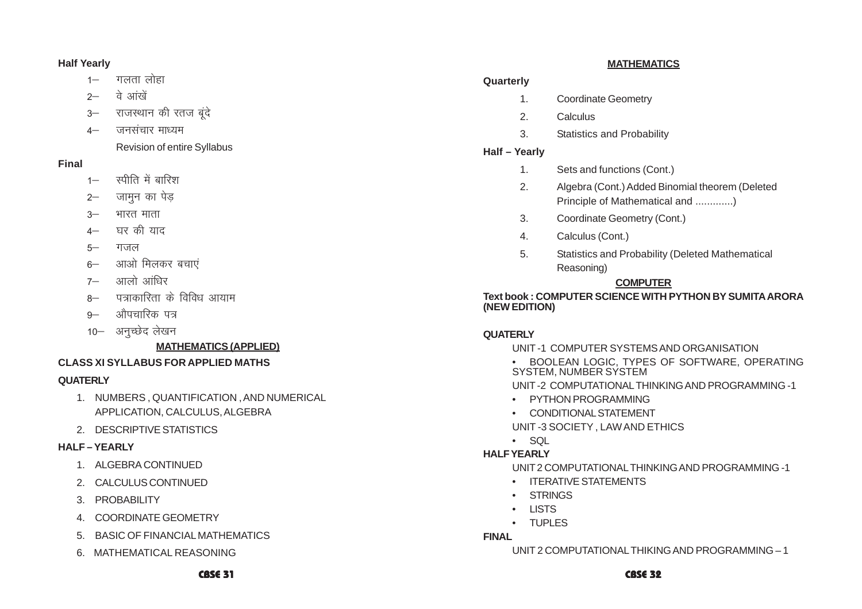#### **Half Yearly**

- 1– गलता लोहा
- $2-$  a  $\overrightarrow{a}$  ariver
- 3- राजस्थान की रतज बुंदे
- 4— जनसंचार माध्यम

Revision of entire Syllabus

### **Final**

- $1 -$  स्पीति में बारिश
- 2– जामन का पेड
- $3 -$  भारत माता
- 4— घर की याद
- 5— गजल
- 6- आओ मिलकर बचाएं
- $7 -$  आलो आंधिर
- 8— पत्राकारिता के विविध आयाम
- 9— औपचारिक पत्र
- 10- अनुच्छेद लेखन

# **MATHEMATICS (APPLIED)**

### **CLASS XI SYLLABUS FOR APPLIED MATHS**

# **QUATERLY**

- 1. NUMBERS , QUANTIFICATION , AND NUMERICAL APPLICATION, CALCULUS, ALGEBRA
- 2. DESCRIPTIVE STATISTICS

# **HALF – YEARLY**

- 1. ALGEBRA CONTINUED
- 2. CALCULUS CONTINUED
- 3. PROBABILITY
- 4. COORDINATE GEOMETRY
- 5. BASIC OF FINANCIAL MATHEMATICS
- 6. MATHEMATICAL REASONING

#### **MATHEMATICS**

#### **Quarterly**

- 1. Coordinate Geometry
- 2. Calculus
- 3. Statistics and Probability

# **Half – Yearly**

- 1. Sets and functions (Cont.)
- 2. Algebra (Cont.) Added Binomial theorem (Deleted Principle of Mathematical and .............)
- 3. Coordinate Geometry (Cont.)
- 4. Calculus (Cont.)
- 5. Statistics and Probability (Deleted Mathematical Reasoning)

# **COMPUTER**

**Text book : COMPUTER SCIENCE WITH PYTHON BY SUMITA ARORA (NEW EDITION)**

# **QUATERLY**

- UNIT -1 COMPUTER SYSTEMS AND ORGANISATION
- • BOOLEAN LOGIC, TYPES OF SOFTWARE, OPERATING SYSTEM, NUMBER SYSTEM

UNIT -2 COMPUTATIONAL THINKING AND PROGRAMMING -1

- PYTHON PROGRAMMING
- •CONDITIONAL STATEMENT

UNIT -3 SOCIETY , LAW AND ETHICS

• SQL

# **HALF YEARLY**

•

UNIT 2 COMPUTATIONAL THINKING AND PROGRAMMING -1

- •ITERATIVE STATEMENTS
- •**STRINGS**
- •LISTS
- •TUPLES

# **FINAL**

UNIT 2 COMPUTATIONAL THIKING AND PROGRAMMING – 1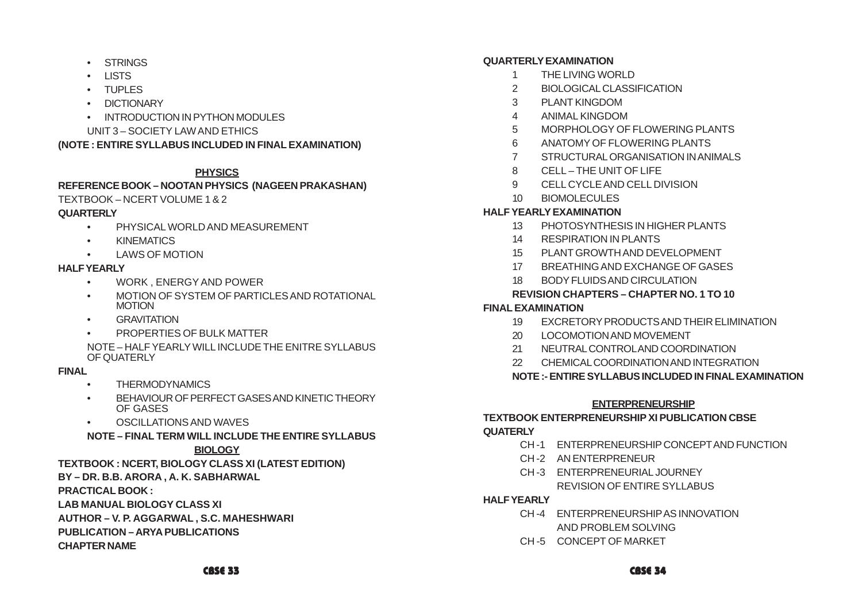- STRINGS
- LISTS
- TUPLES
- DICTIONARY
- INTRODUCTION IN PYTHON MODULES
- UNIT 3 SOCIETY LAW AND ETHICS

**(NOTE : ENTIRE SYLLABUS INCLUDED IN FINAL EXAMINATION)**

# **PHYSICS**

#### **REFERENCE BOOK – NOOTAN PHYSICS (NAGEEN PRAKASHAN)** TEXTBOOK – NCERT VOLUME 1 & 2

#### **QUARTERLY**

- •PHYSICAL WORLD AND MEASUREMENT
- •KINEMATICS
- •LAWS OF MOTION

#### **HALF YEARLY**

- •WORK FNFRGY AND POWER
- •MOTION OF SYSTEM OF PARTICLES AND ROTATIONAL MOTION
- •**GRAVITATION**
- •PROPERTIES OF BULK MATTER

NOTE – HALF YEARLY WILL INCLUDE THE ENITRE SYLLABUS OF QUATERLY

### **FINAL**

- •**THERMODYNAMICS**
- • BEHAVIOUR OF PERFECT GASES AND KINETIC THEORY OF GASES
- •OSCILLATIONS AND WAVES
- **NOTE FINAL TERM WILL INCLUDE THE ENTIRE SYLLABUS**

#### **BIOLOGY**

**TEXTBOOK : NCERT, BIOLOGY CLASS XI (LATEST EDITION)**

# **BY – DR. B.B. ARORA , A. K. SABHARWAL**

**PRACTICAL BOOK :**

**LAB MANUAL BIOLOGY CLASS XI**

**AUTHOR – V. P. AGGARWAL , S.C. MAHESHWARI**

**PUBLICATION – ARYA PUBLICATIONS**

**CHAPTER NAME**

#### **QUARTERLY EXAMINATION**

- 1 THE LIVING WORLD
- 2 BIOLOGICAL CLASSIFICATION
- 3 PLANT KINGDOM
- 4 ANIMAL KINGDOM
- 5 MORPHOLOGY OF FLOWERING PLANTS
- 6 ANATOMY OF FLOWERING PLANTS
- 7 STRUCTURAL ORGANISATION IN ANIMALS
- 8 CELL THE UNIT OF LIFE
- 9 CELL CYCLE AND CELL DIVISION
- 10 BIOMOLECULES

# **HALF YEARLY EXAMINATION**

- 13 PHOTOSYNTHESIS IN HIGHER PLANTS
- 14 RESPIRATION IN PLANTS
- 15 PLANT GROWTH AND DEVELOPMENT
- 17 BREATHING AND EXCHANGE OF GASES
- 18 BODY FLUIDS AND CIRCULATION

### **REVISION CHAPTERS – CHAPTER NO. 1 TO 10**

### **FINAL EXAMINATION**

- 19 EXCRETORY PRODUCTS AND THEIR ELIMINATION
- 20 LOCOMOTION AND MOVEMENT
- 21 NEUTRAL CONTROL AND COORDINATION
- 22 CHEMICAL COORDINATION AND INTEGRATION

# **NOTE :- ENTIRE SYLLABUS INCLUDED IN FINAL EXAMINATION**

### **ENTERPRENEURSHIP**

# **TEXTBOOK ENTERPRENEURSHIP XI PUBLICATION CBSE**

#### **QUATERLY**

- CH -1 ENTERPRENEURSHIP CONCEPT AND FUNCTION
- CH -2 AN ENTERPRENEUR
- CH -3 ENTERPRENEURIAL JOURNEY REVISION OF ENTIRE SYLLABUS
- **HALF YEARLY**
	- CH -4 ENTERPRENEURSHIP AS INNOVATION AND PROBLEM SOLVING
	- CH -5 CONCEPT OF MARKET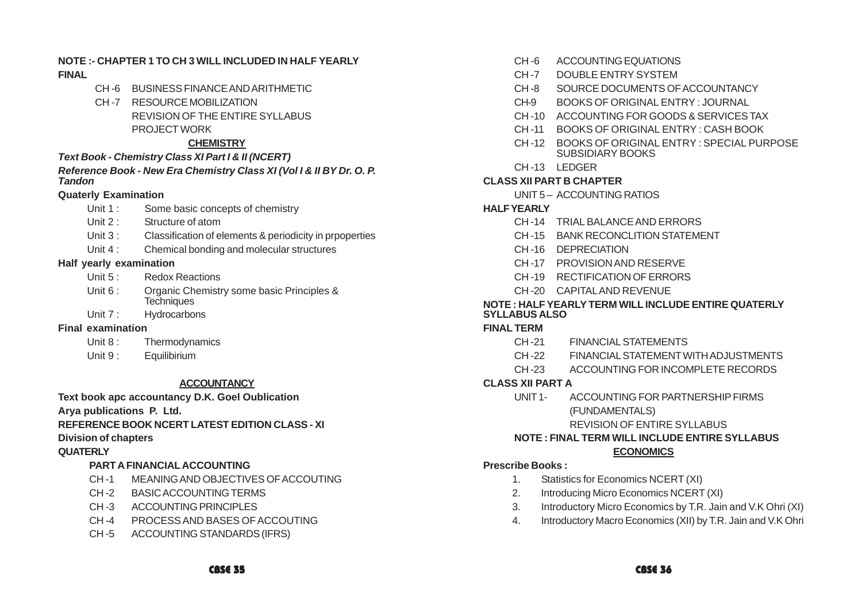#### **NOTE :- CHAPTER 1 TO CH 3 WILL INCLUDED IN HALF YEARLY FINAL**

- CH -6 BUSINESS FINANCE AND ARITHMETIC
- CH -7 RESOURCE MOBILIZATION REVISION OF THE ENTIRE SYLLABUS PROJECT WORK

#### **CHEMISTRY**

#### *Text Book - Chemistry Class XI Part I & II (NCERT)*

#### *Reference Book - New Era Chemistry Class XI (Vol I & II BY Dr. O. P. Tandon*

#### **Quaterly Examination**

- Unit 1 : Some basic concepts of chemistry
- Unit 2 : Structure of atom
- Unit 3 : Classification of elements & periodicity in propoerties
- Unit 4 : Chemical bonding and molecular structures

#### **Half yearly examination**

- Unit 5: Redox Reactions
- Unit 6 : Organic Chemistry some basic Principles & **Techniques**
- Unit 7 : Hydrocarbons

#### **Final examination**

- Unit 8: Thermodynamics
- Unit 9: Equilibirium

#### **ACCOUNTANCY**

#### **Text book apc accountancy D.K. Goel Oublication**

**Arya publications P. Ltd.**

# **REFERENCE BOOK NCERT LATEST EDITION CLASS - XI**

### **Division of chapters**

### **QUATERLY**

# **PART A FINANCIAL ACCOUNTING**

- CH -1 MEANING AND OBJECTIVES OF ACCOUTING
- CH -2 BASIC ACCOUNTING TERMS
- CH-3 ACCOUNTING PRINCIPLES
- CH -4 PROCESS AND BASES OF ACCOUTING
- CH -5 ACCOUNTING STANDARDS (IFRS)
- CH -6 ACCOUNTING EQUATIONS
- CH-7 DOUBLE ENTRY SYSTEM
- CH -8 SOURCE DOCUMENTS OF ACCOUNTANCY
- CH-9 BOOKS OF ORIGINAL ENTRY : JOURNAL
- CH -10 ACCOUNTING FOR GOODS & SERVICES TAX
- CH -11 BOOKS OF ORIGINAL ENTRY : CASH BOOK
- CH -12 BOOKS OF ORIGINAL ENTRY : SPECIAL PURPOSE SUBSIDIARY BOOKS
- CH-13 LEDGER

# **CLASS XII PART B CHAPTER**

UNIT 5 – ACCOUNTING RATIOS

# **HALF YEARLY**

- CH -14 TRIAL BALANCE AND ERRORS
- CH -15 BANK RECONCLITION STATEMENT
- CH -16 DEPRECIATION
- CH -17 PROVISION AND RESERVE
- CH -19 RECTIFICATION OF ERRORS
- CH -20 CAPITAL AND REVENUE

#### **NOTE : HALF YEARLY TERM WILL INCLUDE ENTIRE QUATERLY SYLLABUS ALSO**

### **FINAL TERM**

- CH -21 FINANCIAL STATEMENTS
- CH -22 FINANCIAL STATEMENT WITH ADJUSTMENTS
- CH -23 ACCOUNTING FOR INCOMPLETE RECORDS

# **CLASS XII PART A**

UNIT 1- ACCOUNTING FOR PARTNERSHIP FIRMS (FUNDAMENTALS)

# REVISION OF ENTIRE SYLLABUS

#### **NOTE : FINAL TERM WILL INCLUDE ENTIRE SYLLABUS ECONOMICS**

# **Prescribe Books :**

- 1. Statistics for Economics NCERT (XI)
- 2. Introducing Micro Economics NCERT (XI)
- 3. Introductory Micro Economics by T.R. Jain and V.K Ohri (XI)
- 4. Introductory Macro Economics (XII) by T.R. Jain and V.K Ohri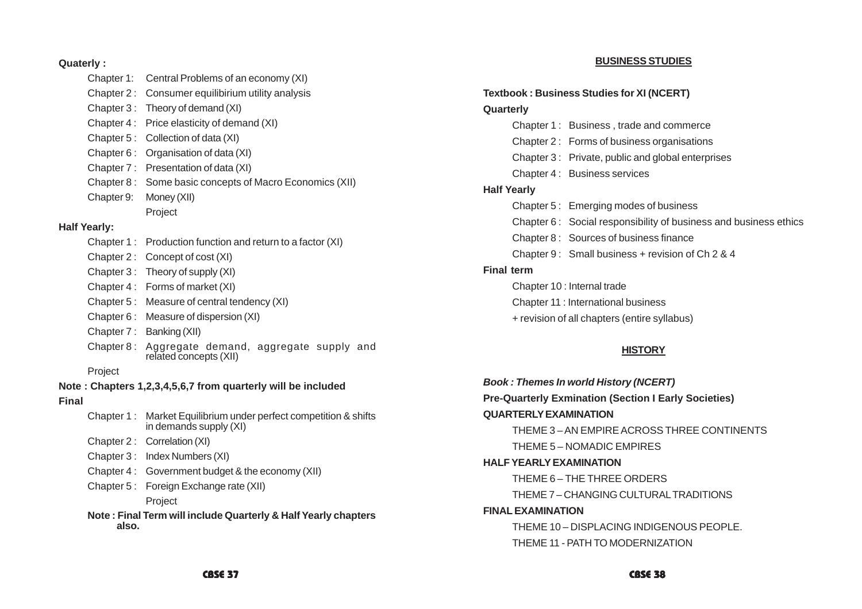#### **Quaterly :**

|                     | Chapter 1: | Central Problems of an economy (XI)                                             |
|---------------------|------------|---------------------------------------------------------------------------------|
|                     | Chapter 2: | Consumer equilibirium utility analysis                                          |
|                     | Chapter 3: | Theory of demand (XI)                                                           |
|                     | Chapter 4: | Price elasticity of demand (XI)                                                 |
|                     | Chapter 5: | Collection of data (XI)                                                         |
|                     | Chapter 6: | Organisation of data (XI)                                                       |
|                     | Chapter 7: | Presentation of data (XI)                                                       |
|                     | Chapter 8: | Some basic concepts of Macro Economics (XII)                                    |
|                     | Chapter 9: | Money (XII)                                                                     |
|                     |            | Project                                                                         |
| <b>Half Yearly:</b> |            |                                                                                 |
|                     | Chapter 1: | Production function and return to a factor (XI)                                 |
|                     | Chapter 2: | Concept of cost (XI)                                                            |
|                     | Chapter 3: | Theory of supply (XI)                                                           |
|                     | Chapter 4: | Forms of market (XI)                                                            |
|                     | Chapter 5: | Measure of central tendency (XI)                                                |
|                     | Chapter 6: | Measure of dispersion (XI)                                                      |
|                     | Chapter 7: | Banking (XII)                                                                   |
|                     | Chapter 8: | Aggregate demand, aggregate supply<br>and<br>related concepts (XII)             |
|                     | Project    |                                                                                 |
|                     |            | Note: Chapters 1,2,3,4,5,6,7 from quarterly will be included                    |
| Final               |            |                                                                                 |
|                     | Chapter 1: | Market Equilibrium under perfect competition & shifts<br>in demands supply (XI) |
|                     | Chapter 2: | Correlation (XI)                                                                |
|                     | Chapter 3: | Index Numbers (XI)                                                              |
|                     | Chapter 4: | Government budget & the economy (XII)                                           |
|                     | Chapter 5: | Foreign Exchange rate (XII)                                                     |
|                     |            | Project                                                                         |
|                     | also.      | Note: Final Term will include Quarterly & Half Yearly chapters                  |

#### **BUSINESS STUDIES**

#### **Textbook : Business Studies for XI (NCERT)**

#### **Quarterly**

- Chapter 1 : Business , trade and commerce
- Chapter 2 : Forms of business organisations
- Chapter 3 : Private, public and global enterprises
- Chapter 4 : Business services

#### **Half Yearly**

- Chapter 5 : Emerging modes of business
- Chapter 6 : Social responsibility of business and business ethics
- Chapter 8 : Sources of business finance
- Chapter 9 : Small business + revision of Ch 2 & 4

#### **Final term**

Chapter 10 : Internal trade

- Chapter 11 : International business
- + revision of all chapters (entire syllabus)

#### **HISTORY**

*Book : Themes In world History (NCERT)* **Pre-Quarterly Exmination (Section I Early Societies) QUARTERLY EXAMINATION** THEME 3 – AN EMPIRE ACROSS THREE CONTINENTS THEME 5 – NOMADIC EMPIRES **HALF YEARLY EXAMINATION** THEME 6 – THE THREE ORDERS THEME 7 – CHANGING CULTURAL TRADITIONS **FINAL EXAMINATION** THEME 10 – DISPLACING INDIGENOUS PEOPLE. THEME 11 - PATH TO MODERNIZATION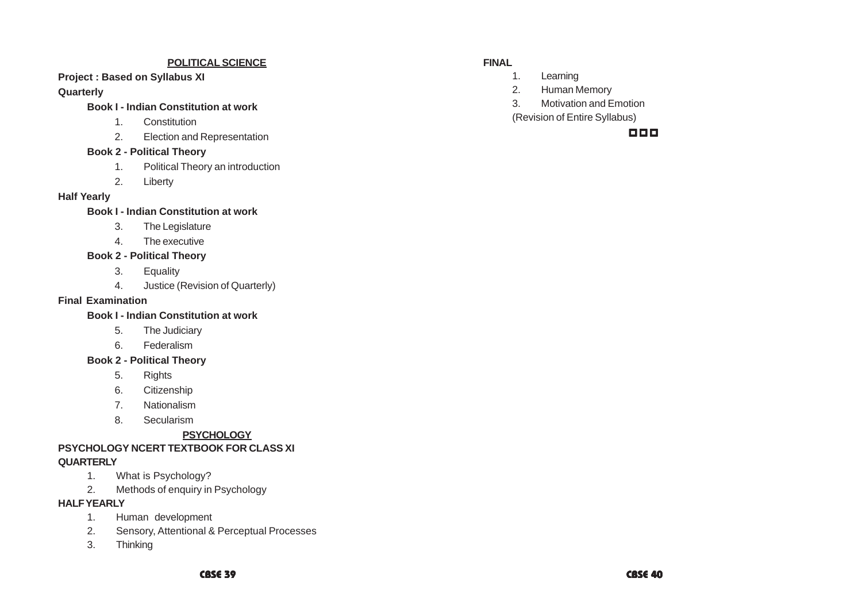#### **POLITICAL SCIENCE**

# **Project : Based on Syllabus XI**

#### **Quarterly**

#### **Book I - Indian Constitution at work**

- 1. Constitution
- 2. Election and Representation

#### **Book 2 - Political Theory**

- 1. Political Theory an introduction
- 2. Liberty

#### **Half Yearly**

#### **Book I - Indian Constitution at work**

- 3. The Legislature
- 4 The executive

#### **Book 2 - Political Theory**

- 3. Equality
- 4. Justice (Revision of Quarterly)

#### **Final Examination**

#### **Book I - Indian Constitution at work**

- 5. The Judiciary
- 6. Federalism

### **Book 2 - Political Theory**

- 5. Rights
- 6. Citizenship
- 7. Nationalism
- 8. Secularism

# **PSYCHOLOGY**

# **PSYCHOLOGY NCERT TEXTBOOK FOR CLASS XI QUARTERLY**

- 1. What is Psychology?
- 2. Methods of enquiry in Psychology

#### **HALF YEARLY**

- 1. Human development
- 2. Sensory, Attentional & Perceptual Processes
- 3. Thinking

#### **FINAL**

- 1. Learning
- 2. Human Memory
- 3. Motivation and Emotion
- (Revision of Entire Syllabus)

## 000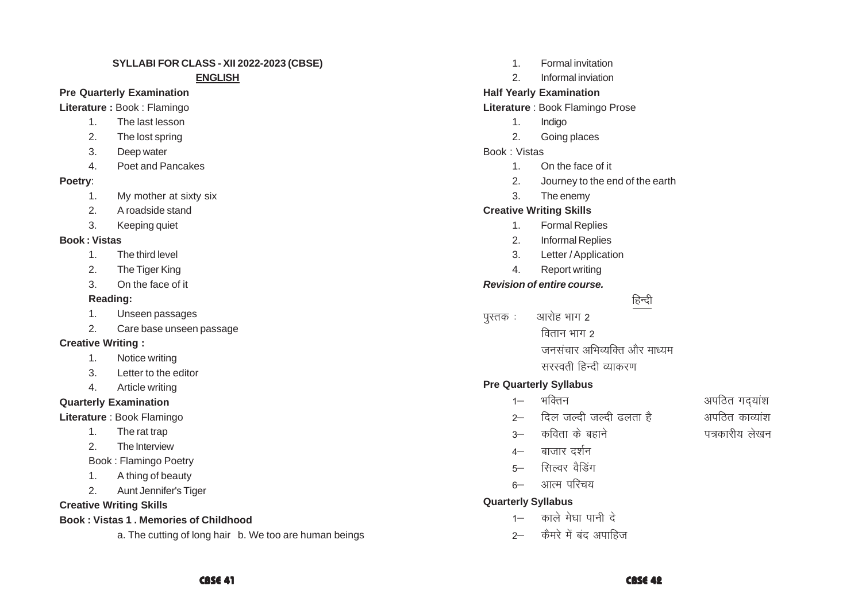#### SYLLABI FOR CLASS - XII 2022-2023 (CBSE)

#### **ENGLISH**

#### **Pre Quarterly Examination**

Literature: Book: Flamingo

- $1<sub>1</sub>$ The last lesson
- $\mathcal{P}$ The lost spring
- $3<sub>1</sub>$ Deep water
- $\overline{4}$ Poet and Pancakes

#### Poetry:

- My mother at sixty six  $1<sub>1</sub>$
- $2.$ A roadside stand
- 3. Keeping quiet

### **Book: Vistas**

- $1<sub>1</sub>$ The third level
- $\mathcal{P}$ The Tiger King
- $\mathcal{R}$ On the face of it

# Reading:

- $1.$ Unseen passages
- $\mathcal{P}$ Care base unseen passage

# **Creative Writing:**

- Notice writing  $1<sub>1</sub>$
- 3. Letter to the editor
- $4<sup>1</sup>$ Article writing

# **Quarterly Examination**

Literature : Book Flamingo

- $\mathbf{1}$ . The rat trap
- $\overline{2}$ . The Interview
- **Book: Flamingo Poetry**
- A thing of beauty  $1<sub>1</sub>$
- Aunt Jennifer's Tiger  $2.$

# **Creative Writing Skills**

# **Book: Vistas 1. Memories of Childhood**

a. The cutting of long hair b. We too are human beings

- Formal invitation  $1$
- $\mathcal{P}$ Informal inviation

# **Half Yearly Examination**

Literature : Book Flamingo Prose

- $1<sub>1</sub>$ Indigo
- $\mathcal{P}$ Going places

# Book · Vistas

- $1$ On the face of it
- $2<sub>1</sub>$ Journey to the end of the earth
- $3.$ The enemy

# **Creative Writing Skills**

- $1.$ **Formal Replies**
- $2.$ **Informal Replies**
- $\mathcal{E}$ Letter / Application
- $\overline{4}$ Report writing

# **Revision of entire course.**

- हिन्दी
- आरोह भाग 2 पुस्तक : वितान भाग २
	- जनसंचार अभिव्यक्ति और माध्यम सरस्वती हिन्दी व्याकरण

# **Pre Quarterly Syllabus**

- भक्तिन  $1 -$
- दिल जल्दी जल्दी ढलता है  $2-$
- कविता के बहाने  $\sim$
- बाजार दर्शन  $4-$
- सिल्वर वैडिंग  $5-$
- आत्म परिचय  $6-$

# **Quarterly Syllabus**

- 1– काले मेघा पानी दे
- कैमरे में बंद अपाहिज  $2 -$

# अपठित गदयांश अपतित काव्यांश

- पत्रकारीय लेखन
-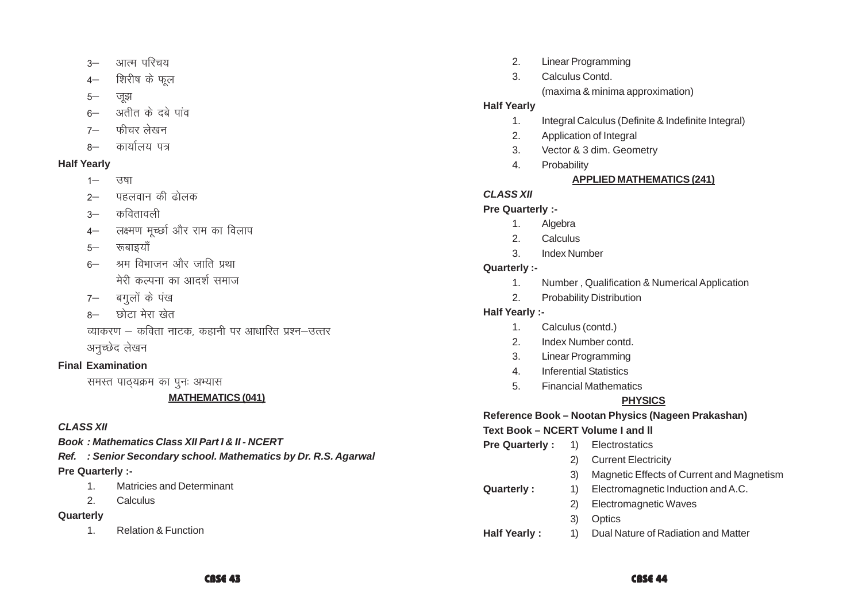- आत्म परिचय  $3 -$
- शिरीष के फल  $4-$
- $5-$ जझ
- अतीत के दबे पांव  $6-$
- फीचर लेखन  $7-$
- कार्यालय पत्र  $R -$

# **Half Yearly**

- $1 -$ उषा
- पहलवान की ढोलक  $2-$
- कवितावली  $3 -$
- लक्ष्मण मुच्छा और राम का विलाप  $4-$
- रूबाइयाँ  $5-$
- 6– श्रम विभाजन और जाति प्रथा मेरी कल्पना का आदर्श समाज
- 7– बगलों के पंख
- 8– छोटा मेरा खेत

व्याकरण – कविता नाटक, कहानी पर आधारित प्रश्न–उत्तर अनुच्छेद लेखन

# **Final Examination**

समस्त पाठ्यक्रम का पूनः अभ्यास

# **MATHEMATICS (041)**

# **CLASS XII**

**Book: Mathematics Class XII Part I & II - NCERT** 

Ref. : Senior Secondary school. Mathematics by Dr. R.S. Agarwal **Pre Quarterly :-**

- $1$ Matricies and Determinant
- $2.$ Calculus

# Quarterly

**Relation & Function**  $1<sub>1</sub>$ 

- **Linear Programming**  $2.$
- $\mathcal{R}$ Calculus Contd. (maxima & minima approximation)

# **Half Yearly**

- Integral Calculus (Definite & Indefinite Integral)  $1<sub>1</sub>$
- $2.$ Application of Integral
- Vector & 3 dim. Geometry  $3.$
- $\overline{4}$ . Probability

# **APPLIED MATHEMATICS (241)**

# **CLASS XII**

# Pre Quarterly :-

- $1<sub>1</sub>$ Algebra
- 2. Calculus
- $\mathcal{S}$ **Index Number**

# Quarterly :-

- Number, Qualification & Numerical Application  $1.$
- **Probability Distribution**  $2.$

# **Half Yearly :-**

- Calculus (contd.)  $\mathbf{1}$
- $\mathcal{P}$ Index Number contd
- 3. **Linear Programming**
- $\overline{4}$ . **Inferential Statistics**
- 5. **Financial Mathematics**

# **PHYSICS**

# Reference Book - Nootan Physics (Nageen Prakashan)

# Text Book - NCERT Volume I and II

- 1) Electrostatics **Pre Quarterly:** 2) Current Electricity Magnetic Effects of Current and Magnetism  $3)$ Electromagnetic Induction and A.C. **Quarterly:**  $1)$ 
	- - 2) Electromagnetic Waves
		- $3)$ Optics
- Dual Nature of Radiation and Matter **Half Yearly:**  $\left( \begin{matrix} 1 \end{matrix} \right)$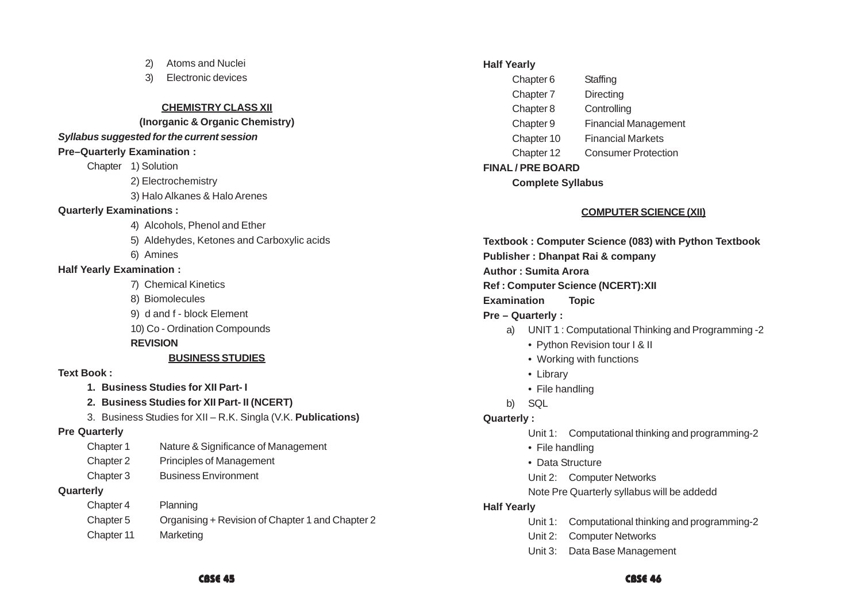- 2) Atoms and Nuclei
- 3) Electronic devices

#### **CHEMISTRY CLASS XII**

#### **(Inorganic & Organic Chemistry)**

#### *Syllabus suggested for the current session*

#### **Pre–Quarterly Examination :**

Chapter 1) Solution

2) Electrochemistry

3) Halo Alkanes & Halo Arenes

#### **Quarterly Examinations :**

- 4) Alcohols, Phenol and Ether
- 5) Aldehydes, Ketones and Carboxylic acids
- 6) Amines

#### **Half Yearly Examination :**

- 7) Chemical Kinetics
- 8) Biomolecules
- 9) d and f block Element
- 10) Co Ordination Compounds

#### **REVISION**

# **BUSINESS STUDIES**

#### **Text Book :**

- **1. Business Studies for XII Part- I**
- **2. Business Studies for XII Part- II (NCERT)**
- 3. Business Studies for XII R.K. Singla (V.K. **Publications)**

#### **Pre Quarterly**

- Chapter 1 Nature & Significance of Management
- Chapter 2 Principles of Management
- Chapter 3 Business Environment

### **Quarterly**

- Chapter 4 Planning
- Chapter 5 Organising + Revision of Chapter 1 and Chapter 2
- Chapter 11 Marketing

#### **Half Yearly**

| Chapter 6  | Staffing                    |
|------------|-----------------------------|
| Chapter 7  | Directing                   |
| Chapter 8  | Controlling                 |
| Chapter 9  | <b>Financial Management</b> |
| Chapter 10 | <b>Financial Markets</b>    |
| Chapter 12 | <b>Consumer Protection</b>  |

#### **FINAL / PRE BOARD**

#### **Complete Syllabus**

### **COMPUTER SCIENCE (XII)**

**Textbook : Computer Science (083) with Python Textbook Publisher : Dhanpat Rai & company Author : Sumita Arora Ref : Computer Science (NCERT):XII Examination Topic Pre – Quarterly :** a) UNIT 1 : Computational Thinking and Programming -2

- Python Revision tour I & II
- Working with functions
- Library
- File handling
- b) SQL

### **Quarterly :**

- Unit 1: Computational thinking and programming-2
- File handling
- Data Structure
- Unit 2: Computer Networks
- Note Pre Quarterly syllabus will be addedd

#### **Half Yearly**

- Unit 1: Computational thinking and programming-2
- Unit 2: Computer Networks
- Unit 3: Data Base Management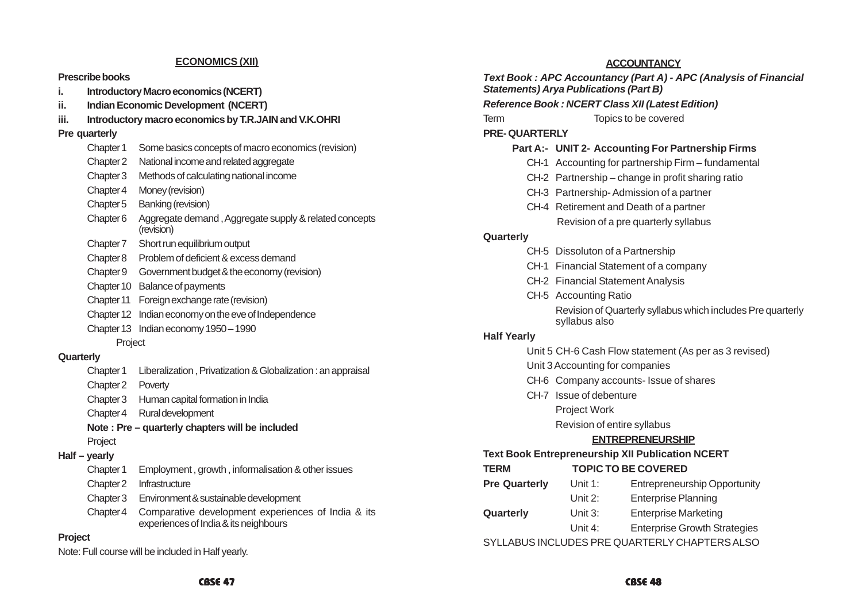#### **ECONOMICS (XII)**

#### **Prescribe books**

- **i. Introductory Macro economics (NCERT)**
- **ii. Indian Economic Development (NCERT)**
- **iii. Introductory macro economics by T.R.JAIN and V.K.OHRI**

#### **Pre quarterly**

- Chapter 1 Some basics concepts of macro economics (revision) Chapter 2 National income and related aggregate Chapter 3 Methods of calculating national income Chapter 4 Money (revision)
- Chapter 5 Banking (revision)
- Chapter 6 Aggregate demand , Aggregate supply & related concepts (revision)
- Chapter 7 Short run equilibrium output
- Chapter 8 Problem of deficient & excess demand
- Chapter 9 Government budget & the economy (revision)
- Chapter 10 Balance of payments
- Chapter 11 Foreign exchange rate (revision)
- Chapter 12 Indian economy on the eve of Independence
- Chapter 13 Indian economy 1950 1990
	- Project

#### **Quarterly**

- Chapter 1 Liberalization , Privatization & Globalization : an appraisal
- Chapter 2 Poverty
- Chapter 3 Human capital formation in India
- Chapter 4 Rural development
- **Note : Pre quarterly chapters will be included** Project

#### **Half – yearly**

- Chapter 1 Employment , growth , informalisation & other issues
- Chapter 2 Infrastructure
- Chapter 3 Environment & sustainable development
- Chapter 4 Comparative development experiences of India & its experiences of India & its neighbours

#### **Project**

Note: Full course will be included in Half yearly.

|                      | ACCOUNTANCY                                                                                                       |
|----------------------|-------------------------------------------------------------------------------------------------------------------|
|                      | Text Book: APC Accountancy (Part A) - APC (Analysis of Financial<br><b>Statements) Arya Publications (Part B)</b> |
|                      | <b>Reference Book: NCERT Class XII (Latest Edition)</b>                                                           |
| Term                 | Topics to be covered                                                                                              |
| <b>PRE-QUARTERLY</b> |                                                                                                                   |
|                      | Part A:- UNIT 2- Accounting For Partnership Firms                                                                 |
|                      | CH-1 Accounting for partnership Firm - fundamental                                                                |
|                      | CH-2 Partnership – change in profit sharing ratio                                                                 |
|                      | CH-3 Partnership-Admission of a partner                                                                           |
|                      | CH-4 Retirement and Death of a partner                                                                            |
|                      | Revision of a pre quarterly syllabus                                                                              |
| Quarterly            |                                                                                                                   |
|                      | CH-5 Dissoluton of a Partnership                                                                                  |
|                      | CH-1 Financial Statement of a company                                                                             |
|                      | CH-2 Financial Statement Analysis                                                                                 |
|                      | CH-5 Accounting Ratio                                                                                             |
|                      |                                                                                                                   |

**ACCOUNTANCY**

Revision of Quarterly syllabus which includes Pre quarterly syllabus also

#### **Half Yearly**

- Unit 5 CH-6 Cash Flow statement (As per as 3 revised)
- Unit 3 Accounting for companies
- CH-6 Company accounts- Issue of shares
- CH-7 Issue of debenture

#### Project Work

Revision of entire syllabus

#### **ENTREPRENEURSHIP**

#### **Text Book Entrepreneurship XII Publication NCERT**

| TERM                 | <b>TOPIC TO BE COVERED</b> |                                               |  |
|----------------------|----------------------------|-----------------------------------------------|--|
| <b>Pre Quarterly</b> | Unit $1:$                  | <b>Entrepreneurship Opportunity</b>           |  |
|                      | Unit $2:$                  | <b>Enterprise Planning</b>                    |  |
| Quarterly            | Unit $3:$                  | <b>Enterprise Marketing</b>                   |  |
|                      | Unit $4$ :                 | <b>Enterprise Growth Strategies</b>           |  |
|                      |                            | SYLLABUS INCLUDES PRE QUARTERLY CHAPTERS ALSO |  |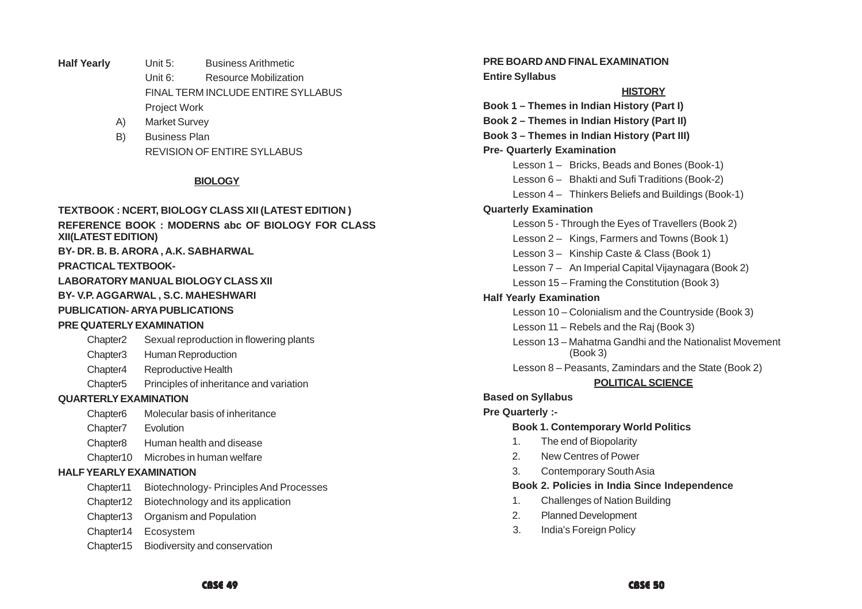- **Half Yearly** Unit 5: Business Arithmetic Unit 6: Resource Mobilization FINAL TERM INCLUDE ENTIRE SYLLABUS Project Work
	- A) Market Survey
	- B) Business Plan REVISION OF ENTIRE SYLLABUS

#### **BIOLOGY**

#### **TEXTBOOK : NCERT, BIOLOGY CLASS XII (LATEST EDITION )**

**REFERENCE BOOK : MODERNS abc OF BIOLOGY FOR CLASS XII(LATEST EDITION)**

**BY- DR. B. B. ARORA , A.K. SABHARWAL**

#### **PRACTICAL TEXTBOOK-**

**LABORATORY MANUAL BIOLOGY CLASS XII**

#### **BY- V.P. AGGARWAL , S.C. MAHESHWARI**

#### **PUBLICATION- ARYA PUBLICATIONS**

#### **PRE QUATERLY EXAMINATION**

- Chapter2 Sexual reproduction in flowering plants
- Chapter3 Human Reproduction
- Chapter4 Reproductive Health
- Chapter5 Principles of inheritance and variation

#### **QUARTERLY EXAMINATION**

- Chapter6 Molecular basis of inheritance
- Chapter7 Evolution
- Chapter8 Human health and disease
- Chapter10 Microbes in human welfare

#### **HALF YEARLY EXAMINATION**

- Chapter11 Biotechnology- Principles And Processes
- Chapter12 Biotechnology and its application
- Chapter13 Organism and Population
- Chapter14 Ecosystem
- Chapter15 Biodiversity and conservation

**PRE BOARD AND FINAL EXAMINATION Entire Syllabus**

#### **HISTORY**

**Book 1 – Themes in Indian History (Part I) Book 2 – Themes in Indian History (Part II) Book 3 – Themes in Indian History (Part III) Pre- Quarterly Examination** Lesson 1 – Bricks, Beads and Bones (Book-1) Lesson 6 – Bhakti and Sufi Traditions (Book-2) Lesson 4 – Thinkers Beliefs and Buildings (Book-1) **Quarterly Examination** Lesson 5 - Through the Eyes of Travellers (Book 2) Lesson 2 – Kings, Farmers and Towns (Book 1) Lesson 3 – Kinship Caste & Class (Book 1) Lesson 7 – An Imperial Capital Vijaynagara (Book 2) Lesson 15 – Framing the Constitution (Book 3) **Half Yearly Examination** Lesson 10 – Colonialism and the Countryside (Book 3) Lesson 11 – Rebels and the Raj (Book 3) Lesson 13 – Mahatma Gandhi and the Nationalist Movement (Book 3) Lesson 8 – Peasants, Zamindars and the State (Book 2) **POLITICAL SCIENCE Based on Syllabus**

#### **Pre Quarterly :-**

#### **Book 1. Contemporary World Politics**

- 1. The end of Biopolarity
- 2. New Centres of Power
- 3. Contemporary South Asia

#### **Book 2. Policies in India Since Independence**

- 1. Challenges of Nation Building
- 2. Planned Development
- 3. India's Foreign Policy